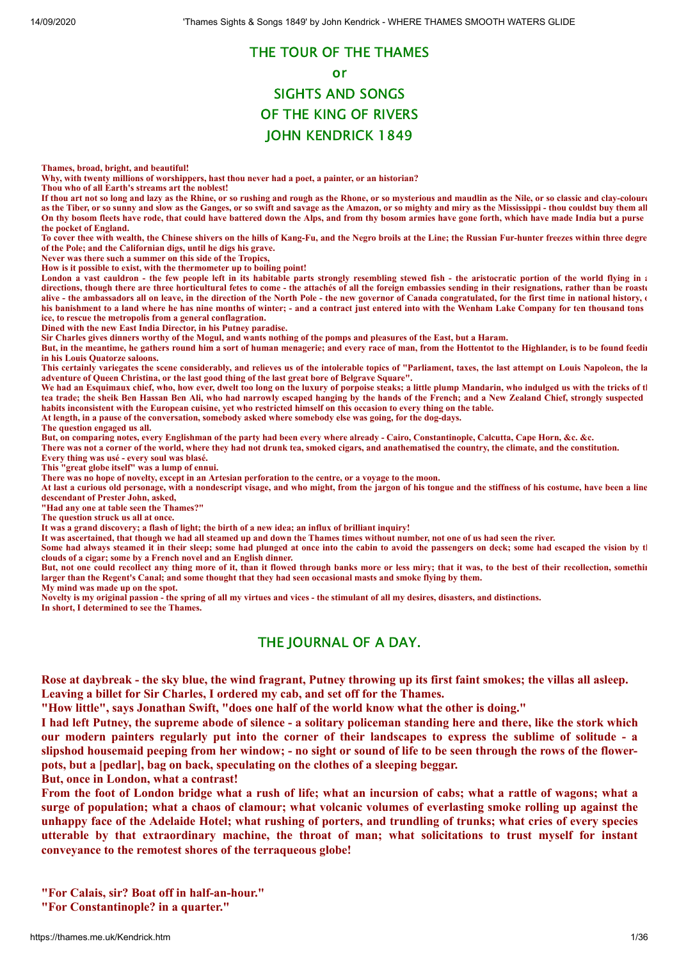# THE TOUR OF THE THAMES or SIGHTS AND SONGS OF THE KING OF RIVERS

# JOHN KENDRICK 1849

**Thames, broad, bright, and beautiful!**

**Why, with twenty millions of worshippers, hast thou never had a poet, a painter, or an historian?**

**Thou who of all Earth's streams art the noblest!**

**If thou art not so long and lazy as the Rhine, or so rushing and rough as the Rhone, or so mysterious and maudlin as the Nile, or so classic and clay-coloure as the Tiber, or so sunny and slow as the Ganges, or so swift and savage as the Amazon, or so mighty and miry as the Mississippi - thou couldst buy them all On thy bosom fleets have rode, that could have battered down the Alps, and from thy bosom armies have gone forth, which have made India but a purse the pocket of England.**

**To cover thee with wealth, the Chinese shivers on the hills of Kang-Fu, and the Negro broils at the Line; the Russian Fur-hunter freezes within three degre of the Pole; and the Californian digs, until he digs his grave.**

**Never was there such a summer on this side of the Tropics,**

**How is it possible to exist, with the thermometer up to boiling point!**

London a vast cauldron - the few people left in its habitable parts strongly resembling stewed fish - the aristocratic portion of the world flying in a **directions, though there are three horticultural fetes to come - the attachés of all the foreign embassies sending in their resignations, rather than be roaste alive - the ambassadors all on leave, in the direction of the North Pole - the new governor of Canada congratulated, for the first time in national history, o his banishment to a land where he has nine months of winter; - and a contract just entered into with the Wenham Lake Company for ten thousand tons ice, to rescue the metropolis from a general conflagration.**

**Dined with the new East India Director, in his Putney paradise.**

**Sir Charles gives dinners worthy of the Mogul, and wants nothing of the pomps and pleasures of the East, but a Haram.**

**But, in the meantime, he gathers round him a sort of human menagerie; and every race of man, from the Hottentot to the Highlander, is to be found feedin in his Louis Quatorze saloons.**

**This certainly variegates the scene considerably, and relieves us of the intolerable topics of "Parliament, taxes, the last attempt on Louis Napoleon, the la adventure of Queen Christina, or the last good thing of the last great bore of Belgrave Square".**

We had an Esquimaux chief, who, how ever, dwelt too long on the luxury of porpoise steaks; a little plump Mandarin, who indulged us with the tricks of the stricks of the tricks of the tricks of the tricks of the tricks of **tea trade; the sheik Ben Hassan Ben Ali, who had narrowly escaped hanging by the hands of the French; and a New Zealand Chief, strongly suspected habits inconsistent with the European cuisine, yet who restricted himself on this occasion to every thing on the table.**

**At length, in a pause of the conversation, somebody asked where somebody else was going, for the dog-days.**

**The question engaged us all.**

**But, on comparing notes, every Englishman of the party had been every where already - Cairo, Constantinople, Calcutta, Cape Horn, &c. &c.**

**There was not a corner of the world, where they had not drunk tea, smoked cigars, and anathematised the country, the climate, and the constitution.** 

**Every thing was usé - every soul was blasé.**

**This "great globe itself" was a lump of ennui.**

**There was no hope of novelty, except in an Artesian perforation to the centre, or a voyage to the moon.**

**At last a curious old personage, with a nondescript visage, and who might, from the jargon of his tongue and the stiffness of his costume, have been a line descendant of Prester John, asked,**

**"Had any one at table seen the Thames?"**

**The question struck us all at once.**

**It was a grand discovery; a flash of light; the birth of a new idea; an influx of brilliant inquiry!**

**It was ascertained, that though we had all steamed up and down the Thames times without number, not one of us had seen the river.**

Some had always steamed it in their sleep; some had plunged at once into the cabin to avoid the passengers on deck; some had escaped the vision by the **clouds of a cigar; some by a French novel and an English dinner.**

**But, not one could recollect any thing more of it, than it flowed through banks more or less miry; that it was, to the best of their recollection, somethin larger than the Regent's Canal; and some thought that they had seen occasional masts and smoke flying by them.**

**My mind was made up on the spot.**

**Novelty is my original passion - the spring of all my virtues and vices - the stimulant of all my desires, disasters, and distinctions. In short, I determined to see the Thames.**

### THE JOURNAL OF A DAY.

Rose at daybreak - the sky blue, the wind fragrant, Putney throwing up its first faint smokes; the villas all asleep.

**Leaving a billet for Sir Charles, I ordered my cab, and set off for the Thames.**

**"How little", says Jonathan Swift, "does one half of the world know what the other is doing."**

I had left Putney, the supreme abode of silence - a solitary policeman standing here and there, like the stork which our modern painters regularly put into the corner of their landscapes to express the sublime of solitude - a slipshod housemaid peeping from her window; - no sight or sound of life to be seen through the rows of the flower**pots, but a [pedlar], bag on back, speculating on the clothes of a sleeping beggar.**

**But, once in London, what a contrast!**

From the foot of London bridge what a rush of life; what an incursion of cabs; what a rattle of wagons; what a surge of population; what a chaos of clamour; what volcanic volumes of everlasting smoke rolling up against the unhappy face of the Adelaide Hotel; what rushing of porters, and trundling of trunks; what cries of every species **utterable by that extraordinary machine, the throat of man; what solicitations to trust myself for instant conveyance to the remotest shores of the terraqueous globe!**

**"For Calais, sir? Boat off in half-an-hour."**

**"For Constantinople? in a quarter."**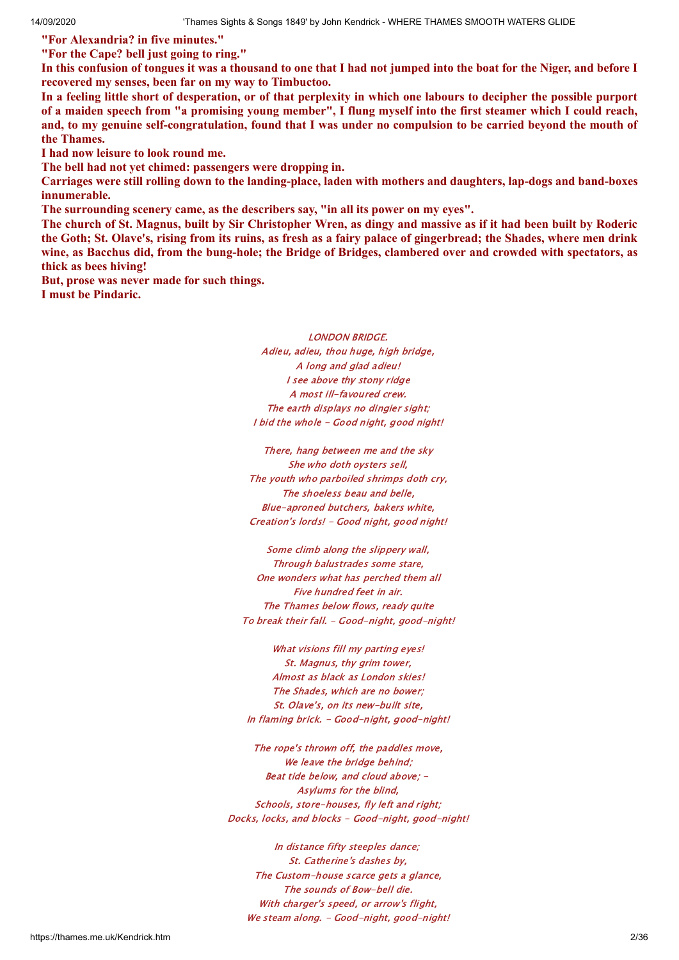**"For Alexandria? in five minutes."**

**"For the Cape? bell just going to ring."**

In this confusion of tongues it was a thousand to one that I had not jumped into the boat for the Niger, and before I **recovered my senses, been far on my way to Timbuctoo.**

In a feeling little short of desperation, or of that perplexity in which one labours to decipher the possible purport of a maiden speech from "a promising young member", I flung myself into the first steamer which I could reach, and, to my genuine self-congratulation, found that I was under no compulsion to be carried beyond the mouth of **the Thames.**

**I had now leisure to look round me.**

**The bell had not yet chimed: passengers were dropping in.**

Carriages were still rolling down to the landing-place, laden with mothers and daughters, lap-dogs and band-boxes **innumerable.**

**The surrounding scenery came, as the describers say, "in all its power on my eyes".**

The church of St. Magnus, built by Sir Christopher Wren, as dingy and massive as if it had been built by Roderic the Goth; St. Olave's, rising from its ruins, as fresh as a fairy palace of gingerbread; the Shades, where men drink wine, as Bacchus did, from the bung-hole; the Bridge of Bridges, clambered over and crowded with spectators, as **thick as bees hiving!**

**But, prose was never made for such things. I must be Pindaric.**

> LONDON BRIDGE. Adieu, adieu, thou huge, high bridge, A long and glad adieu! I see above thy stony ridge A most ill-favoured crew. The earth displays no dingier sight; I bid the whole - Good night, good night!

There, hang between me and the sky She who doth oysters sell, The youth who parboiled shrimps doth cry, The shoeless beau and belle, Blue-aproned butchers, bakers white, Creation's lords! - Good night, good night!

Some climb along the slippery wall, Through balustrades some stare, One wonders what has perched them all Five hundred feet in air. The Thames below flows, ready quite To break their fall. - Good-night, good-night!

What visions fill my parting eyes! St. Magnus, thy grim tower, Almost as black as London skies! The Shades, which are no bower; St. Olave's, on its new-built site, In flaming brick. - Good-night, good-night!

The rope's thrown off, the paddles move, We leave the bridge behind: Beat tide below, and cloud above; - Asylums for the blind, Schools, store-houses, fly left and right; Docks, locks, and blocks - Good-night, good-night!

In distance fifty steeples dance; St. Catherine's dashes by, The Custom-house scarce gets a glance, The sounds of Bow-bell die. With charger's speed, or arrow's flight, We steam along. - Good-night, good-night!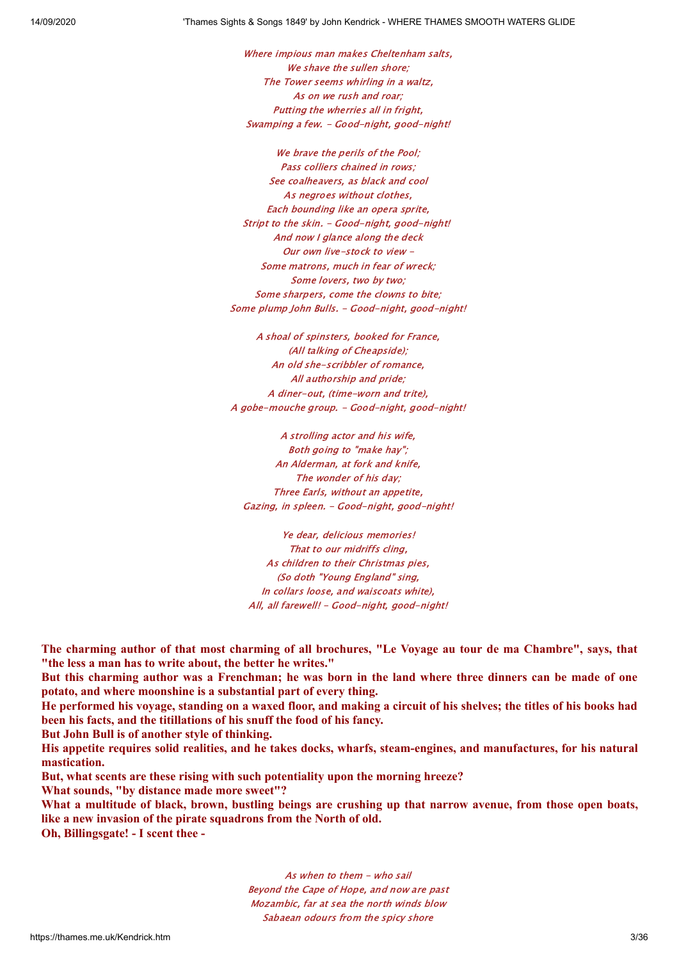Where impious man makes Cheltenham salts, We shave the sullen shore; The Tower seems whirling in a waltz, As on we rush and roar; Putting the wherries all in fright, Swamping a few. - Good-night, good-night!

We brave the perils of the Pool; Pass colliers chained in rows; See coalheavers, as black and cool As negroes without clothes, Each bounding like an opera sprite, Stript to the skin. - Good-night, good-night! And now I glance along the deck Our own live-stock to view - Some matrons, much in fear of wreck; Some lovers, two by two; Some sharpers, come the clowns to bite; Some plump John Bulls. - Good-night, good-night!

A shoal of spinsters, booked for France, (All talking of Cheapside); An old she-scribbler of romance, All authorship and pride; A diner-out, (time-worn and trite), A gobe-mouche group. - Good-night, good-night!

A strolling actor and his wife, Both going to "make hay"; An Alderman, at fork and knife, The wonder of his day; Three Earls, without an appetite, Gazing, in spleen. - Good-night, good-night!

Ye dear, delicious memories! That to our midriffs cling, As children to their Christmas pies, (So doth "Young England" sing, In collars loose, and waiscoats white), All, all farewell! - Good-night, good-night!

The charming author of that most charming of all brochures, "Le Vovage au tour de ma Chambre", says, that **"the less a man has to write about, the better he writes."**

But this charming author was a Frenchman; he was born in the land where three dinners can be made of one **potato, and where moonshine is a substantial part of every thing.**

He performed his voyage, standing on a waxed floor, and making a circuit of his shelves; the titles of his books had **been his facts, and the titillations of his snuff the food of his fancy.**

**But John Bull is of another style of thinking.**

His appetite requires solid realities, and he takes docks, wharfs, steam-engines, and manufactures, for his natural **mastication.**

**But, what scents are these rising with such potentiality upon the morning hreeze?**

**What sounds, "by distance made more sweet"?**

What a multitude of black, brown, bustling beings are crushing up that narrow avenue, from those open boats, **like a new invasion of the pirate squadrons from the North of old. Oh, Billingsgate! - I scent thee -**

As when to them - who sail Beyond the Cape of Hope, and now are past Mozambic, far at sea the north winds blow Sabaean odours from the spicy shore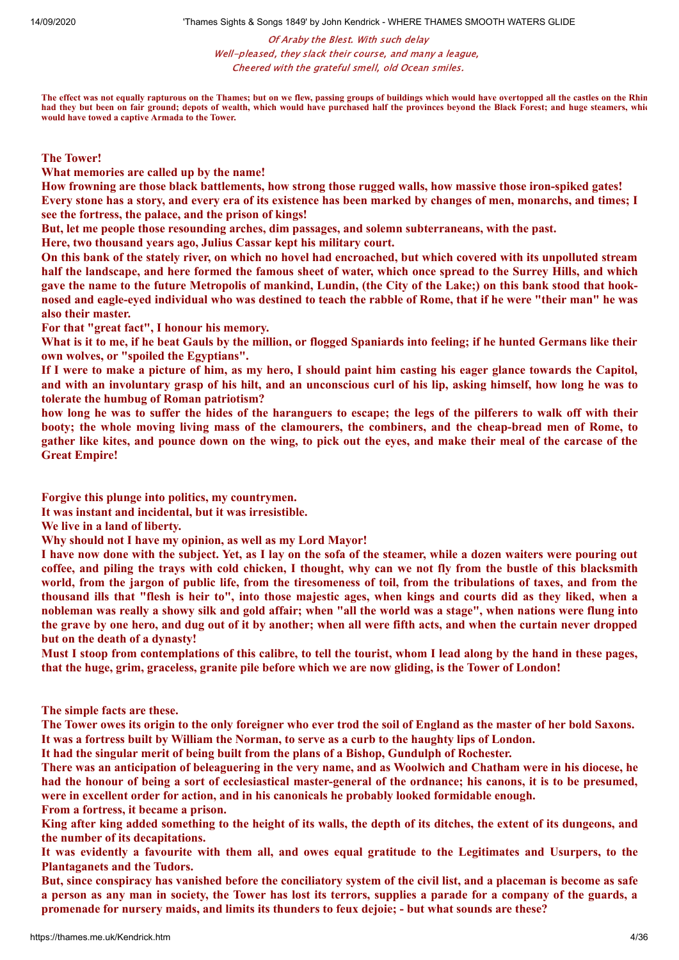Of Araby the Blest. With such delay Well-pleased, they slack their course, and many a league, Cheered with the grateful smell, old Ocean smiles.

**The effect was not equally rapturous on the Thames; but on we flew, passing groups of buildings which would have overtopped all the castles on the Rhin had they but been on fair ground; depots of wealth, which would have purchased half the provinces beyond the Black Forest; and huge steamers, whic would have towed a captive Armada to the Tower.**

**The Tower!**

**What memories are called up by the name!**

**How frowning are those black battlements, how strong those rugged walls, how massive those iron-spiked gates!** Every stone has a story, and every era of its existence has been marked by changes of men, monarchs, and times; I **see the fortress, the palace, and the prison of kings!**

**But, let me people those resounding arches, dim passages, and solemn subterraneans, with the past.**

**Here, two thousand years ago, Julius Cassar kept his military court.**

On this bank of the stately river, on which no hovel had encroached, but which covered with its unpolluted stream half the landscape, and here formed the famous sheet of water, which once spread to the Surrey Hills, and which gave the name to the future Metropolis of mankind, Lundin, (the City of the Lake;) on this bank stood that hooknosed and eagle-eyed individual who was destined to teach the rabble of Rome, that if he were "their man" he was **also their master.**

**For that "great fact", I honour his memory.**

What is it to me, if he beat Gauls by the million, or flogged Spaniards into feeling; if he hunted Germans like their **own wolves, or "spoiled the Egyptians".**

If I were to make a picture of him, as my hero, I should paint him casting his eager glance towards the Capitol, and with an involuntary grasp of his hilt, and an unconscious curl of his lip, asking himself, how long he was to **tolerate the humbug of Roman patriotism?**

how long he was to suffer the hides of the haranguers to escape; the legs of the pilferers to walk off with their booty; the whole moving living mass of the clamourers, the combiners, and the cheap-bread men of Rome, to gather like kites, and pounce down on the wing, to pick out the eyes, and make their meal of the carcase of the **Great Empire!**

**Forgive this plunge into politics, my countrymen.**

**It was instant and incidental, but it was irresistible.**

**We live in a land of liberty.**

**Why should not I have my opinion, as well as my Lord Mayor!**

I have now done with the subject. Yet, as I lay on the sofa of the steamer, while a dozen waiters were pouring out coffee, and piling the trays with cold chicken, I thought, why can we not fly from the bustle of this blacksmith world, from the jargon of public life, from the tiresomeness of toil, from the tribulations of taxes, and from the thousand ills that "flesh is heir to", into those majestic ages, when kings and courts did as they liked, when a nobleman was really a showy silk and gold affair; when "all the world was a stage", when nations were flung into the grave by one hero, and dug out of it by another; when all were fifth acts, and when the curtain never dropped **but on the death of a dynasty!**

Must I stoop from contemplations of this calibre, to tell the tourist, whom I lead along by the hand in these pages, that the huge, grim, graceless, granite pile before which we are now gliding, is the Tower of London!

**The simple facts are these.**

The Tower owes its origin to the only foreigner who ever trod the soil of England as the master of her bold Saxons. It was a fortress built by William the Norman, to serve as a curb to the haughty lips of London.

**It had the singular merit of being built from the plans of a Bishop, Gundulph of Rochester.**

There was an anticipation of beleaguering in the very name, and as Woolwich and Chatham were in his diocese, he had the honour of being a sort of ecclesiastical master-general of the ordnance; his canons, it is to be presumed, **were in excellent order for action, and in his canonicals he probably looked formidable enough.**

**From a fortress, it became a prison.**

King after king added something to the height of its walls, the depth of its ditches, the extent of its dungeons, and **the number of its decapitations.**

It was evidently a favourite with them all, and owes equal gratitude to the Legitimates and Usurpers, to the **Plantaganets and the Tudors.**

But, since conspiracy has vanished before the conciliatory system of the civil list, and a placeman is become as safe a person as any man in society, the Tower has lost its terrors, supplies a parade for a company of the guards, a **promenade for nursery maids, and limits its thunders to feux dejoie; - but what sounds are these?**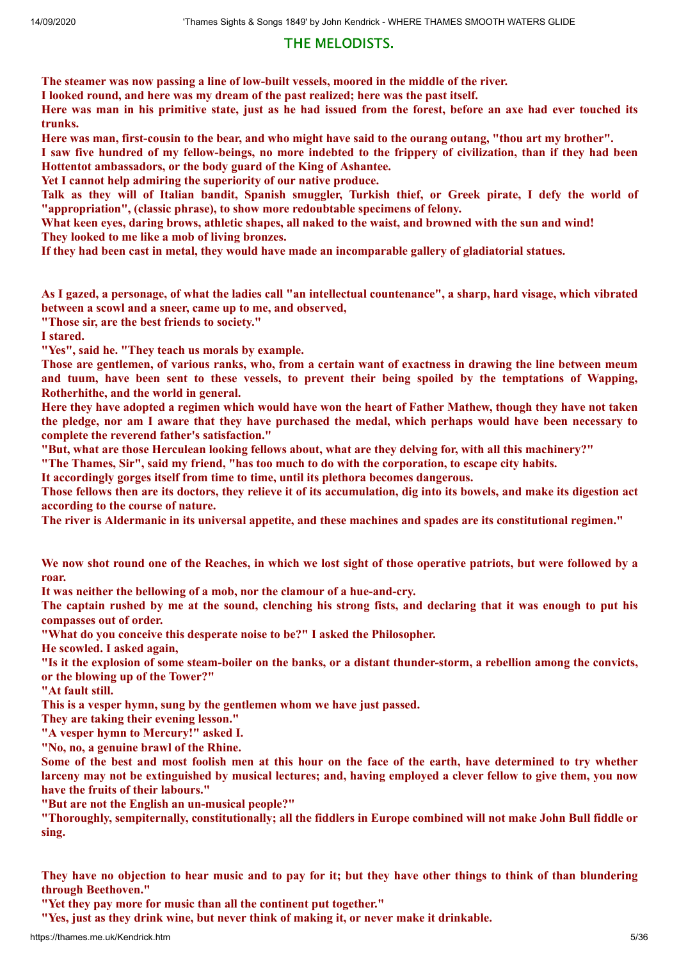# THE MELODISTS.

**The steamer was now passing a line of low-built vessels, moored in the middle of the river.**

**I looked round, and here was my dream of the past realized; here was the past itself.**

Here was man in his primitive state, just as he had issued from the forest, before an axe had ever touched its **trunks.**

Here was man, first-cousin to the bear, and who might have said to the ourang outang, "thou art my brother".

I saw five hundred of my fellow-beings, no more indebted to the frippery of civilization, than if they had been **Hottentot ambassadors, or the body guard of the King of Ashantee.**

**Yet I cannot help admiring the superiority of our native produce.**

Talk as they will of Italian bandit. Spanish smuggler, Turkish thief, or Greek pirate, I defy the world of **"appropriation", (classic phrase), to show more redoubtable specimens of felony.**

What keen eyes, daring brows, athletic shapes, all naked to the waist, and browned with the sun and wind! **They looked to me like a mob of living bronzes.**

**If they had been cast in metal, they would have made an incomparable gallery of gladiatorial statues.**

As I gazed, a personage, of what the ladies call "an intellectual countenance", a sharp, hard visage, which vibrated **between a scowl and a sneer, came up to me, and observed,**

**"Those sir, are the best friends to society."**

**I stared.**

**"Yes", said he. "They teach us morals by example.**

Those are gentlemen, of various ranks, who, from a certain want of exactness in drawing the line between meum and tuum, have been sent to these vessels, to prevent their being spoiled by the temptations of Wapping, **Rotherhithe, and the world in general.**

Here they have adopted a regimen which would have won the heart of Father Mathew, though they have not taken the pledge, nor am I aware that they have purchased the medal, which perhaps would have been necessary to **complete the reverend father's satisfaction."**

"But, what are those Herculean looking fellows about, what are they delving for, with all this machinery?"

"The Thames, Sir", said my friend, "has too much to do with the corporation, to escape city habits.

**It accordingly gorges itself from time to time, until its plethora becomes dangerous.**

Those fellows then are its doctors, they relieve it of its accumulation, dig into its bowels, and make its digestion act **according to the course of nature.**

The river is Aldermanic in its universal appetite, and these machines and spades are its constitutional regimen."

We now shot round one of the Reaches, in which we lost sight of those operative patriots, but were followed by a **roar.**

**It was neither the bellowing of a mob, nor the clamour of a hue-and-cry.**

The captain rushed by me at the sound, clenching his strong fists, and declaring that it was enough to put his **compasses out of order.**

**"What do you conceive this desperate noise to be?" I asked the Philosopher.**

**He scowled. I asked again,**

"Is it the explosion of some steam-boiler on the banks, or a distant thunder-storm, a rebellion among the convicts, **or the blowing up of the Tower?"**

**"At fault still.**

**This is a vesper hymn, sung by the gentlemen whom we have just passed.**

**They are taking their evening lesson."**

**"A vesper hymn to Mercury!" asked I.**

**"No, no, a genuine brawl of the Rhine.**

Some of the best and most foolish men at this hour on the face of the earth, have determined to try whether larceny may not be extinguished by musical lectures; and, having employed a clever fellow to give them, you now **have the fruits of their labours."**

**"But are not the English an un-musical people?"**

"Thoroughly, sempiternally, constitutionally; all the fiddlers in Europe combined will not make John Bull fiddle or **sing.**

They have no objection to hear music and to pay for it; but they have other things to think of than blundering **through Beethoven."**

**"Yet they pay more for music than all the continent put together."**

**"Yes, just as they drink wine, but never think of making it, or never make it drinkable.**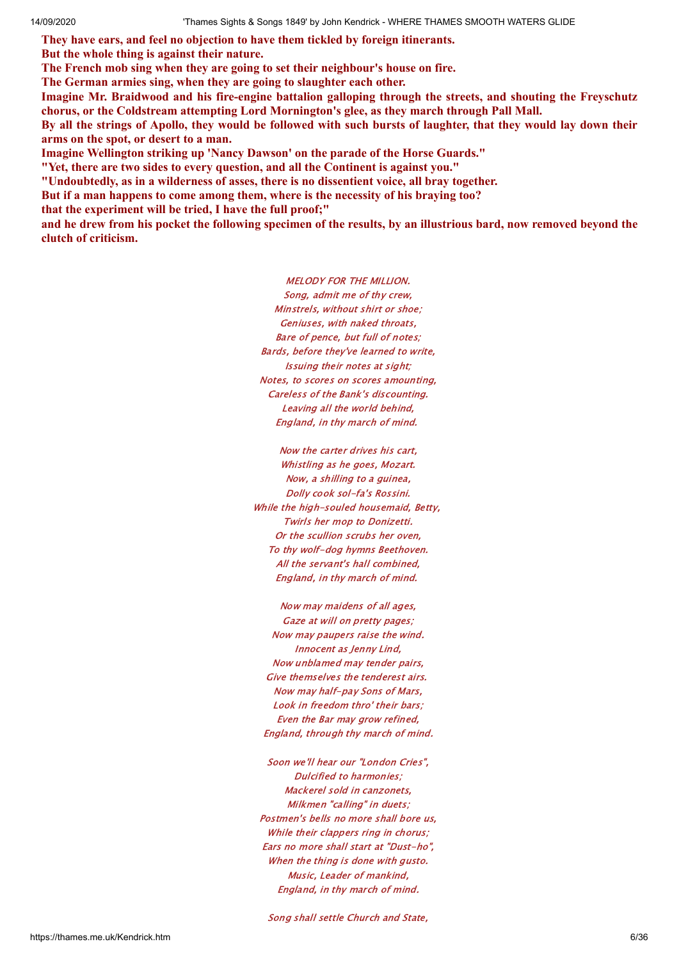**They have ears, and feel no objection to have them tickled by foreign itinerants.**

**But the whole thing is against their nature.**

**The French mob sing when they are going to set their neighbour's house on fire.**

**The German armies sing, when they are going to slaughter each other.**

**Imagine Mr. Braidwood and his fire-engine battalion galloping through the streets, and shouting the Freyschutz chorus, or the Coldstream attempting Lord Mornington's glee, as they march through Pall Mall.**

By all the strings of Apollo, they would be followed with such bursts of laughter, that they would lay down their **arms on the spot, or desert to a man.**

**Imagine Wellington striking up 'Nancy Dawson' on the parade of the Horse Guards."**

**"Yet, there are two sides to every question, and all the Continent is against you."**

**"Undoubtedly, as in a wilderness of asses, there is no dissentient voice, all bray together.**

**But if a man happens to come among them, where is the necessity of his braying too?**

**that the experiment will be tried, I have the full proof;"**

and he drew from his pocket the following specimen of the results, by an illustrious bard, now removed beyond the **clutch of criticism.**

> MELODY FOR THE MILLION. Song, admit me of thy crew, Minstrels, without shirt or shoe; Geniuses, with naked throats, Bare of pence, but full of notes; Bards, before they've learned to write, Issuing their notes at sight; Notes, to scores on scores amounting, Careless of the Bank's discounting. Leaving all the world behind, England, in thy march of mind.

Now the carter drives his cart, Whistling as he goes, Mozart. Now, a shilling to a guinea, Dolly cook sol-fa's Rossini. While the high-souled housemaid, Betty, Twirls her mop to Donizetti. Or the scullion scrubs her oven, To thy wolf-dog hymns Beethoven. All the servant's hall combined, England, in thy march of mind.

Now may maidens of all ages, Gaze at will on pretty pages; Now may paupers raise the wind. Innocent as Jenny Lind, Now unblamed may tender pairs, Give themselves the tenderest airs. Now may half-pay Sons of Mars, Look in freedom thro' their bars; Even the Bar may grow refined, England, through thy march of mind.

Soon we'll hear our "London Cries", Dulcified to harmonies; Mackerel sold in canzonets, Milkmen "calling" in duets; Postmen's bells no more shall bore us, While their clappers ring in chorus: Ears no more shall start at "Dust-ho", When the thing is done with gusto. Music, Leader of mankind, England, in thy march of mind.

Song shall settle Church and State,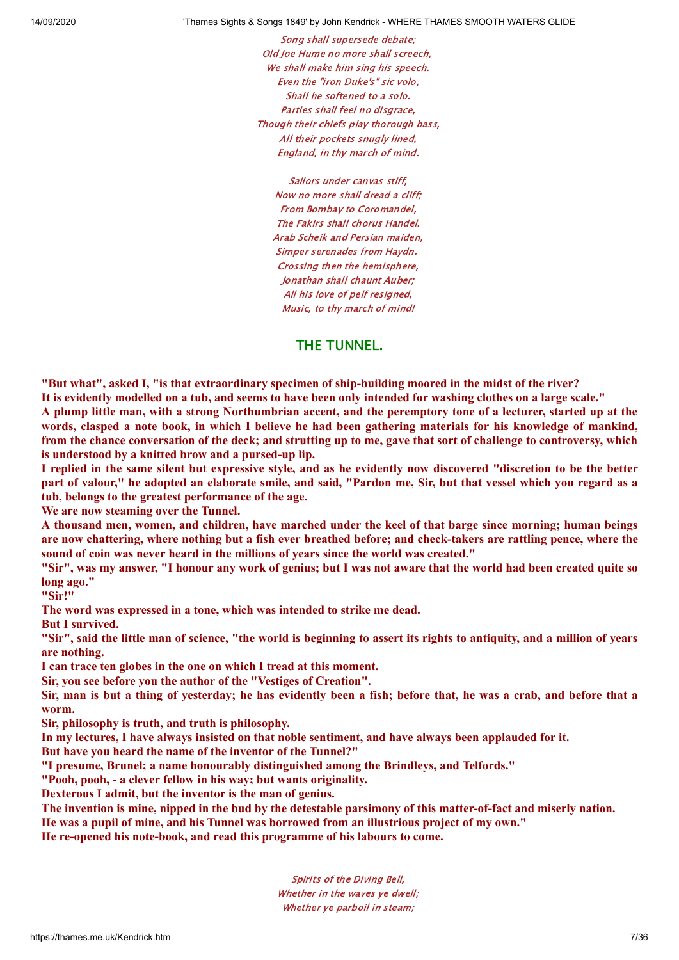Song shall supersede debate; Old Joe Hume no more shall screech, We shall make him sing his speech. Even the "iron Duke's" sic volo, Shall he softened to a solo. Parties shall feel no disgrace, Though their chiefs play thorough bass, All their pockets snugly lined, England, in thy march of mind.

Sailors under canvas stiff, Now no more shall dread a cliff; From Bombay to Coromandel, The Fakirs shall chorus Handel. Arab Scheik and Persian maiden, Simper serenades from Haydn. Crossing then the hemisphere, Jonathan shall chaunt Auber; All his love of pelf resigned, Music, to thy march of mind!

### THE TUNNEL.

**"But what", asked I, "is that extraordinary specimen of ship-building moored in the midst of the river?** It is evidently modelled on a tub, and seems to have been only intended for washing clothes on a large scale." A plump little man, with a strong Northumbrian accent, and the peremptory tone of a lecturer, started up at the words, clasped a note book, in which I believe he had been gathering materials for his knowledge of mankind, from the chance conversation of the deck; and strutting up to me, gave that sort of challenge to controversy, which

**is understood by a knitted brow and a pursed-up lip.** I replied in the same silent but expressive style, and as he evidently now discovered "discretion to be the better part of valour," he adopted an elaborate smile, and said, "Pardon me, Sir, but that vessel which you regard as a **tub, belongs to the greatest performance of the age.**

**We are now steaming over the Tunnel.**

A thousand men, women, and children, have marched under the keel of that barge since morning; human beings are now chattering, where nothing but a fish ever breathed before; and check-takers are rattling pence, where the **sound of coin was never heard in the millions of years since the world was created."**

"Sir", was my answer, "I honour any work of genius; but I was not aware that the world had been created quite so **long ago."**

**"Sir!"**

**The word was expressed in a tone, which was intended to strike me dead.**

**But I survived.**

"Sir", said the little man of science, "the world is beginning to assert its rights to antiquity, and a million of years **are nothing.**

**I can trace ten globes in the one on which I tread at this moment.**

**Sir, you see before you the author of the "Vestiges of Creation".**

Sir, man is but a thing of vesterday; he has evidently been a fish; before that, he was a crab, and before that a **worm.**

**Sir, philosophy is truth, and truth is philosophy.**

In my lectures, I have always insisted on that noble sentiment, and have always been applauded for it.

**But have you heard the name of the inventor of the Tunnel?"**

**"I presume, Brunel; a name honourably distinguished among the Brindleys, and Telfords."**

**"Pooh, pooh, - a clever fellow in his way; but wants originality.**

**Dexterous I admit, but the inventor is the man of genius.**

The invention is mine, nipped in the bud by the detestable parsimony of this matter-of-fact and miserly nation.

**He was a pupil of mine, and his Tunnel was borrowed from an illustrious project of my own."**

**He re-opened his note-book, and read this programme of his labours to come.**

Spirits of the Diving Bell, Whether in the waves ve dwell: Whether ye parboil in steam;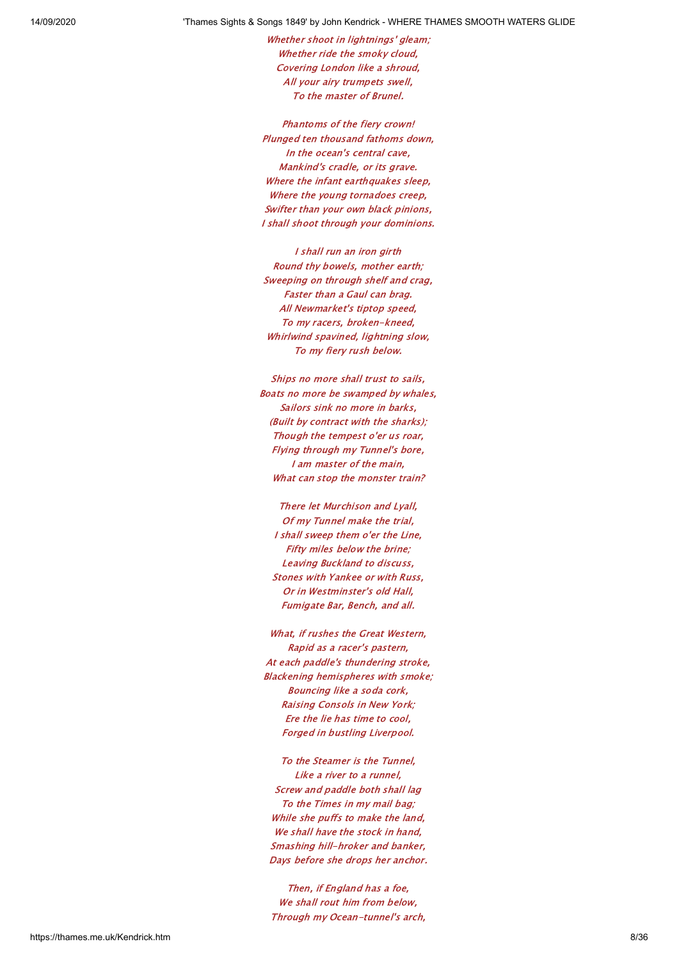Whether shoot in lightnings' gleam; Whether ride the smoky cloud, Covering London like a shroud, All your airy trumpets swell, To the master of Brunel.

Phantoms of the fiery crown! Plunged ten thousand fathoms down, In the ocean's central cave, Mankind's cradle, or its grave. Where the infant earthquakes sleep, Where the young tornadoes creep. Swifter than your own black pinions, I shall shoot through your dominions.

I shall run an iron girth Round thy bowels, mother earth; Sweeping on through shelf and crag, Faster than a Gaul can brag. All Newmarket's tiptop speed, To my racers, broken-kneed, Whirlwind spavined, lightning slow, To my fiery rush below.

Ships no more shall trust to sails, Boats no more be swamped by whales, Sailors sink no more in barks, (Built by contract with the sharks); Though the tempest o'er us roar, Flying through my Tunnel's bore, I am master of the main, What can stop the monster train?

There let Murchison and Lyall, Of my Tunnel make the trial, I shall sweep them o'er the Line, Fifty miles below the brine; Leaving Buckland to discuss, Stones with Yankee or with Russ, Or in Westminster's old Hall, Fumigate Bar, Bench, and all.

What, if rushes the Great Western, Rapid as a racer's pastern, At each paddle's thundering stroke, Blackening hemispheres with smoke; Bouncing like a soda cork, Raising Consols in New York; Ere the lie has time to cool, Forged in bustling Liverpool.

To the Steamer is the Tunnel, Like a river to a runnel, Screw and paddle both shall lag To the Times in my mail bag; While she puffs to make the land, We shall have the stock in hand. Smashing hill-hroker and banker, Days before she drops her anchor.

Then, if England has a foe, We shall rout him from below, Through my Ocean-tunnel's arch,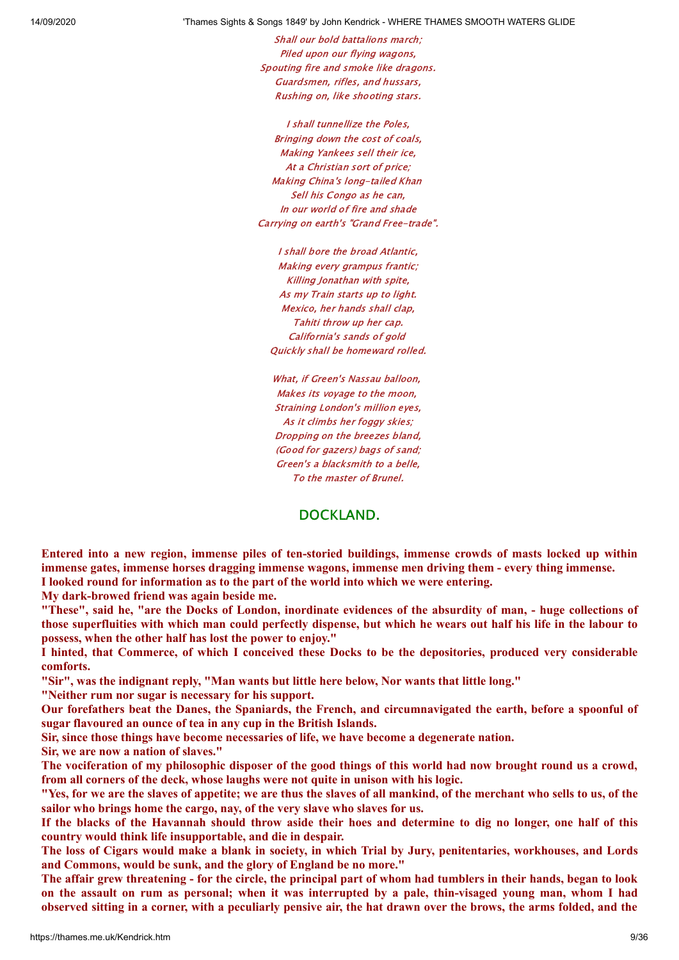Shall our bold battalions march; Piled upon our flying wagons, Spouting fire and smoke like dragons. Guardsmen, rifles, and hussars, Rushing on, like shooting stars.

I shall tunnellize the Poles, Bringing down the cost of coals, Making Yankees sell their ice, At a Christian sort of price; Making China's long-tailed Khan Sell his Congo as he can. In our world of fire and shade Carrying on earth's "Grand Free-trade".

I shall bore the broad Atlantic, Making every grampus frantic; Killing Jonathan with spite, As my Train starts up to light. Mexico, her hands shall clap, Tahiti throw up her cap. California's sands of gold Quickly shall be homeward rolled.

What, if Green's Nassau balloon, Makes its voyage to the moon, Straining London's million eyes, As it climbs her foggy skies; Dropping on the breezes bland, (Good for gazers) bags of sand; Green's a blacksmith to a belle, To the master of Brunel.

### DOCKLAND.

Entered into a new region, immense piles of ten-storied buildings, immense crowds of masts locked up within **immense gates, immense horses dragging immense wagons, immense men driving them - every thing immense. I looked round for information as to the part of the world into which we were entering.**

**My dark-browed friend was again beside me.**

"These", said he, "are the Docks of London, inordinate evidences of the absurdity of man, - huge collections of those superfluities with which man could perfectly dispense, but which he wears out half his life in the labour to **possess, when the other half has lost the power to enjoy."**

I hinted, that Commerce, of which I conceived these Docks to be the depositories, produced very considerable **comforts.**

**"Sir", was the indignant reply, "Man wants but little here below, Nor wants that little long."**

**"Neither rum nor sugar is necessary for his support.**

Our forefathers beat the Danes, the Spaniards, the French, and circumnavigated the earth, before a spoonful of **sugar flavoured an ounce of tea in any cup in the British Islands.**

**Sir, since those things have become necessaries of life, we have become a degenerate nation.**

**Sir, we are now a nation of slaves."**

The vociferation of my philosophic disposer of the good things of this world had now brought round us a crowd, **from all corners of the deck, whose laughs were not quite in unison with his logic.**

"Yes, for we are the slaves of appetite; we are thus the slaves of all mankind, of the merchant who sells to us, of the **sailor who brings home the cargo, nay, of the very slave who slaves for us.**

If the blacks of the Havannah should throw aside their hoes and determine to dig no longer, one half of this **country would think life insupportable, and die in despair.**

The loss of Cigars would make a blank in society, in which Trial by Jury, penitentaries, workhouses, and Lords **and Commons, would be sunk, and the glory of England be no more."**

The affair grew threatening - for the circle, the principal part of whom had tumblers in their hands, began to look on the assault on rum as personal; when it was interrupted by a pale, thin-visaged young man, whom I had observed sitting in a corner, with a peculiarly pensive air, the hat drawn over the brows, the arms folded, and the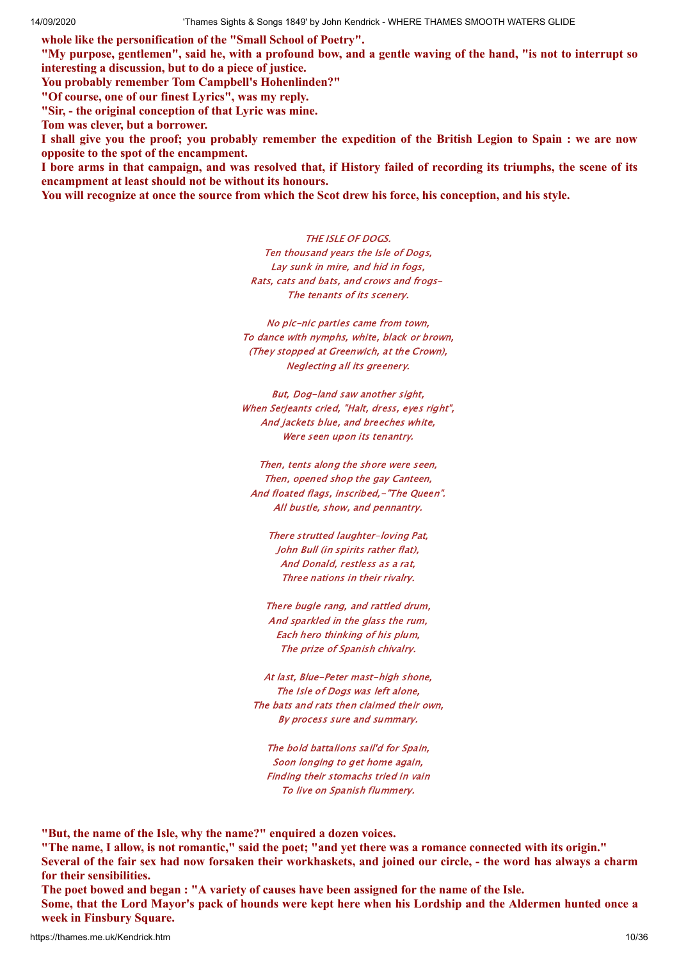**whole like the personification of the "Small School of Poetry".**

"My purpose, gentlemen", said he, with a profound bow, and a gentle waving of the hand, "is not to interrupt so **interesting a discussion, but to do a piece of justice.**

**You probably remember Tom Campbell's Hohenlinden?"**

**"Of course, one of our finest Lyrics", was my reply.**

**"Sir, - the original conception of that Lyric was mine.**

**Tom was clever, but a borrower.**

I shall give you the proof; you probably remember the expedition of the British Legion to Spain : we are now **opposite to the spot of the encampment.**

I bore arms in that campaign, and was resolved that, if History failed of recording its triumphs, the scene of its **encampment at least should not be without its honours.**

You will recognize at once the source from which the Scot drew his force, his conception, and his style.

THE ISLE OF DOGS. Ten thousand years the Isle of Dogs, Lay sunk in mire, and hid in fogs, Rats, cats and bats, and crows and frogs-The tenants of its scenery.

No pic-nic parties came from town, To dance with nymphs, white, black or brown, (They stopped at Greenwich, at the Crown), Neglecting all its greenery.

But, Dog-land saw another sight, When Serjeants cried, "Halt, dress, eyes right", And jackets blue, and breeches white, Were seen upon its tenantry.

Then, tents along the shore were seen, Then, opened shop the gay Canteen, And floated flags, inscribed,-"The Queen". All bustle, show, and pennantry.

There strutted laughter-loving Pat, John Bull (in spirits rather flat), And Donald, restless as a rat, Three nations in their rivalry.

There bugle rang, and rattled drum, And sparkled in the glass the rum, Each hero thinking of his plum, The prize of Spanish chivalry.

At last, Blue-Peter mast-high shone, The Isle of Dogs was left alone, The bats and rats then claimed their own, By process sure and summary.

The bold battalions sail'd for Spain, Soon longing to get home again, Finding their stomachs tried in vain To live on Spanish flummery.

**"But, the name of the Isle, why the name?" enquired a dozen voices.**

"The name, I allow, is not romantic," said the poet; "and yet there was a romance connected with its origin." Several of the fair sex had now forsaken their workhaskets, and joined our circle, - the word has always a charm **for their sensibilities.**

The poet bowed and began : "A variety of causes have been assigned for the name of the Isle.

Some, that the Lord Mayor's pack of hounds were kept here when his Lordship and the Aldermen hunted once a **week in Finsbury Square.**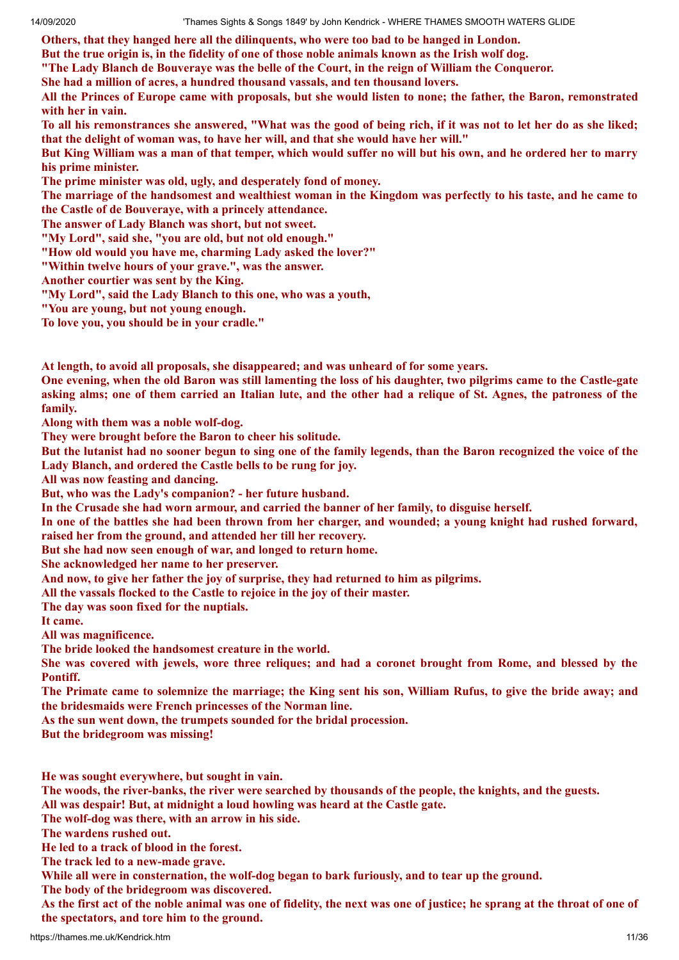**Others, that they hanged here all the dilinquents, who were too bad to be hanged in London.**

But the true origin is, in the fidelity of one of those noble animals known as the Irish wolf dog.

**"The Lady Blanch de Bouveraye was the belle of the Court, in the reign of William the Conqueror.**

**She had a million of acres, a hundred thousand vassals, and ten thousand lovers.**

All the Princes of Europe came with proposals, but she would listen to none; the father, the Baron, remonstrated **with her in vain.**

To all his remonstrances she answered, "What was the good of being rich, if it was not to let her do as she liked; **that the delight of woman was, to have her will, and that she would have her will."**

But King William was a man of that temper, which would suffer no will but his own, and he ordered her to marry **his prime minister.**

**The prime minister was old, ugly, and desperately fond of money.**

The marriage of the handsomest and wealthiest woman in the Kingdom was perfectly to his taste, and he came to **the Castle of de Bouveraye, with a princely attendance.**

**The answer of Lady Blanch was short, but not sweet.**

**"My Lord", said she, "you are old, but not old enough."**

**"How old would you have me, charming Lady asked the lover?"**

**"Within twelve hours of your grave.", was the answer.**

**Another courtier was sent by the King.**

**"My Lord", said the Lady Blanch to this one, who was a youth,**

**"You are young, but not young enough.**

**To love you, you should be in your cradle."**

**At length, to avoid all proposals, she disappeared; and was unheard of for some years.**

One evening, when the old Baron was still lamenting the loss of his daughter, two pilgrims came to the Castle-gate asking alms; one of them carried an Italian lute, and the other had a relique of St. Agnes, the patroness of the **family.**

**Along with them was a noble wolf-dog.**

**They were brought before the Baron to cheer his solitude.**

But the lutanist had no sooner begun to sing one of the family legends, than the Baron recognized the voice of the **Lady Blanch, and ordered the Castle bells to be rung for joy.**

**All was now feasting and dancing.**

**But, who was the Lady's companion? - her future husband.**

**In the Crusade she had worn armour, and carried the banner of her family, to disguise herself.**

In one of the battles she had been thrown from her charger, and wounded; a voung knight had rushed forward, **raised her from the ground, and attended her till her recovery.**

**But she had now seen enough of war, and longed to return home.**

**She acknowledged her name to her preserver.**

**And now, to give her father the joy of surprise, they had returned to him as pilgrims.**

**All the vassals flocked to the Castle to rejoice in the joy of their master.**

**The day was soon fixed for the nuptials.**

**It came.**

**All was magnificence.**

**The bride looked the handsomest creature in the world.**

She was covered with jewels, wore three reliques; and had a coronet brought from Rome, and blessed by the **Pontiff.**

The Primate came to solemnize the marriage; the King sent his son, William Rufus, to give the bride away; and **the bridesmaids were French princesses of the Norman line.**

**As the sun went down, the trumpets sounded for the bridal procession.**

**But the bridegroom was missing!**

**He was sought everywhere, but sought in vain.**

The woods, the river-banks, the river were searched by thousands of the people, the knights, and the guests.

**All was despair! But, at midnight a loud howling was heard at the Castle gate.**

**The wolf-dog was there, with an arrow in his side.**

**The wardens rushed out.**

**He led to a track of blood in the forest.**

**The track led to a new-made grave.**

**While all were in consternation, the wolf-dog began to bark furiously, and to tear up the ground.**

**The body of the bridegroom was discovered.**

As the first act of the noble animal was one of fidelity, the next was one of justice; he sprang at the throat of one of **the spectators, and tore him to the ground.**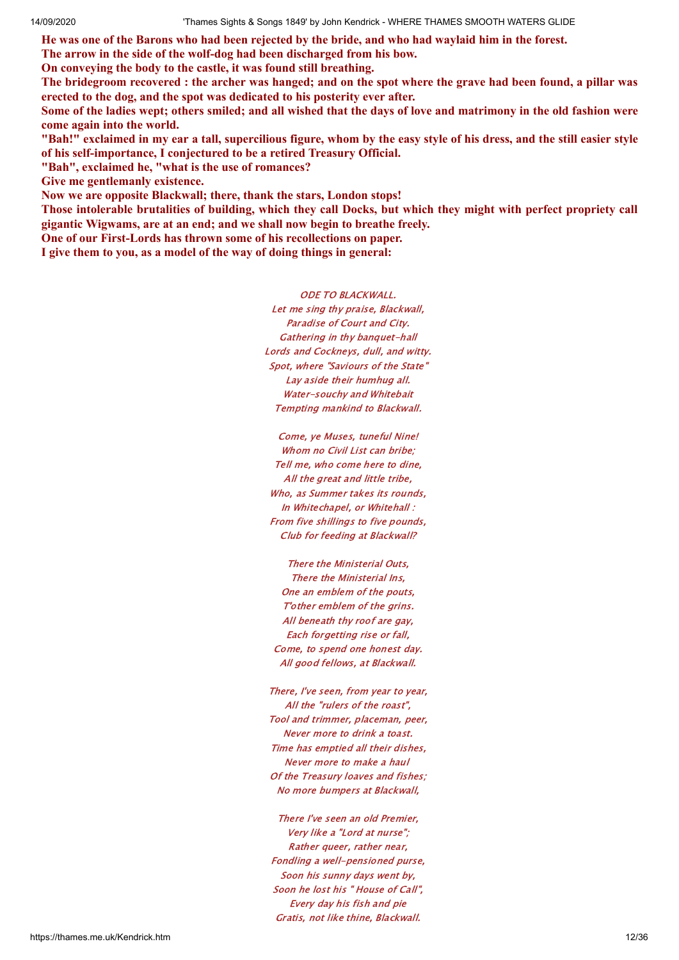He was one of the Barons who had been rejected by the bride, and who had waylaid him in the forest.

**The arrow in the side of the wolf-dog had been discharged from his bow.**

**On conveying the body to the castle, it was found still breathing.**

The bridegroom recovered : the archer was hanged; and on the spot where the grave had been found, a pillar was **erected to the dog, and the spot was dedicated to his posterity ever after.**

Some of the ladies wept; others smiled; and all wished that the days of love and matrimony in the old fashion were **come again into the world.**

"Bah!" exclaimed in my ear a tall, supercilious figure, whom by the easy style of his dress, and the still easier style **of his self-importance, I conjectured to be a retired Treasury Official.**

**"Bah", exclaimed he, "what is the use of romances?**

**Give me gentlemanly existence.**

**Now we are opposite Blackwall; there, thank the stars, London stops!**

Those intolerable brutalities of building, which they call Docks, but which they might with perfect propriety call **gigantic Wigwams, are at an end; and we shall now begin to breathe freely.**

**One of our First-Lords has thrown some of his recollections on paper.**

**I give them to you, as a model of the way of doing things in general:**

ODE TO BLACKWALL.

Let me sing thy praise, Blackwall, Paradise of Court and City. Gathering in thy banquet-hall Lords and Cockneys, dull, and witty. Spot, where "Saviours of the State" Lay aside their humhug all. Water-souchy and Whitebait Tempting mankind to Blackwall.

Come, ye Muses, tuneful Nine! Whom no Civil List can bribe; Tell me, who come here to dine, All the great and little tribe, Who, as Summer takes its rounds, In Whitechapel, or Whitehall : From five shillings to five pounds, Club for feeding at Blackwall?

There the Ministerial Outs, There the Ministerial Ins, One an emblem of the pouts, T'other emblem of the grins. All beneath thy roof are gay, Each forgetting rise or fall, Come, to spend one honest day. All good fellows, at Blackwall.

There, I've seen, from year to year, All the "rulers of the roast", Tool and trimmer, placeman, peer, Never more to drink a toast. Time has emptied all their dishes, Never more to make a haul Of the Treasury loaves and fishes; No more bumpers at Blackwall,

There I've seen an old Premier, Very like a "Lord at nurse"; Rather queer, rather near, Fondling a well-pensioned purse, Soon his sunny days went by, Soon he lost his " House of Call", Every day his fish and pie Gratis, not like thine, Blackwall.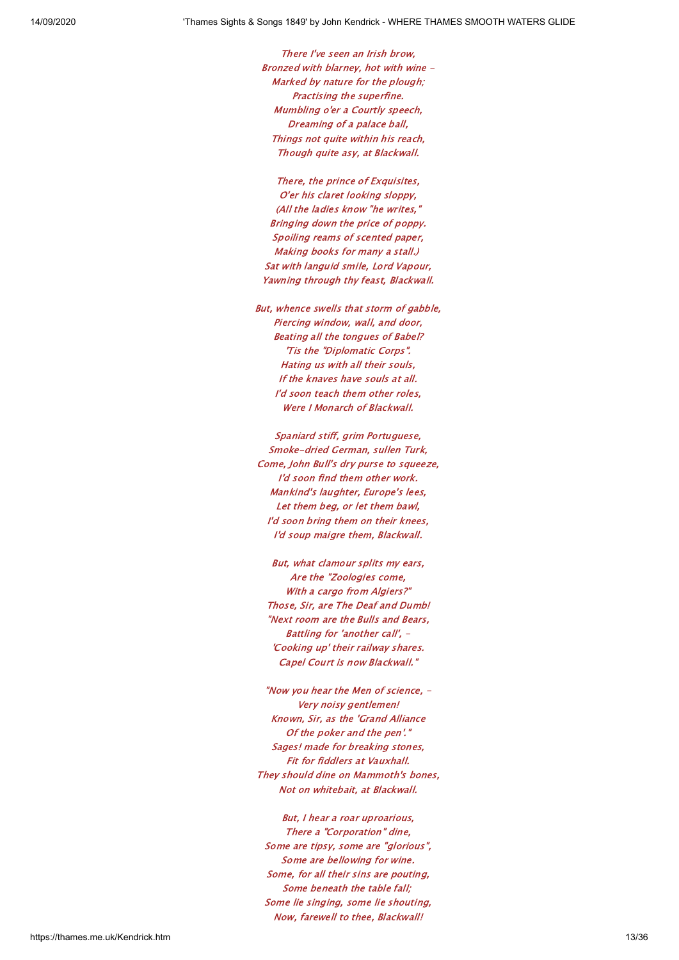There I've seen an Irish brow, Bronzed with blarney, hot with wine - Marked by nature for the plough; Practising the superfine. Mumbling o'er a Courtly speech, Dreaming of a palace ball, Things not quite within his reach, Though quite asy, at Blackwall.

There, the prince of Exquisites, O'er his claret looking sloppy, (All the ladies know "he writes," Bringing down the price of poppy. Spoiling reams of scented paper, Making books for many a stall.) Sat with languid smile, Lord Vapour, Yawning through thy feast, Blackwall.

But, whence swells that storm of gabble, Piercing window, wall, and door, Beating all the tongues of Babel? 'Tis the "Diplomatic Corps". Hating us with all their souls, If the knaves have souls at all. I'd soon teach them other roles, Were I Monarch of Blackwall.

Spaniard stiff, grim Portuguese, Smoke-dried German, sullen Turk, Come, John Bull's dry purse to squeeze, I'd soon find them other work. Mankind's laughter, Europe's lees, Let them beg, or let them bawl, I'd soon bring them on their knees, I'd soup maigre them, Blackwall.

But, what clamour splits my ears, Are the "Zoologies come, With a cargo from Algiers?" Those, Sir, are The Deaf and Dumb! "Next room are the Bulls and Bears, Battling for 'another call', - 'Cooking up' their railway shares. Capel Court is now Blackwall."

"Now you hear the Men of science, - Very noisy gentlemen! Known, Sir, as the 'Grand Alliance Of the poker and the pen'." Sages! made for breaking stones, Fit for fiddlers at Vauxhall. They should dine on Mammoth's bones, Not on whitebait, at Blackwall.

But, I hear a roar uproarious, There a "Corporation" dine, Some are tipsy, some are "glorious", Some are bellowing for wine. Some, for all their sins are pouting, Some beneath the table fall; Some lie singing, some lie shouting, Now, farewell to thee, Blackwall!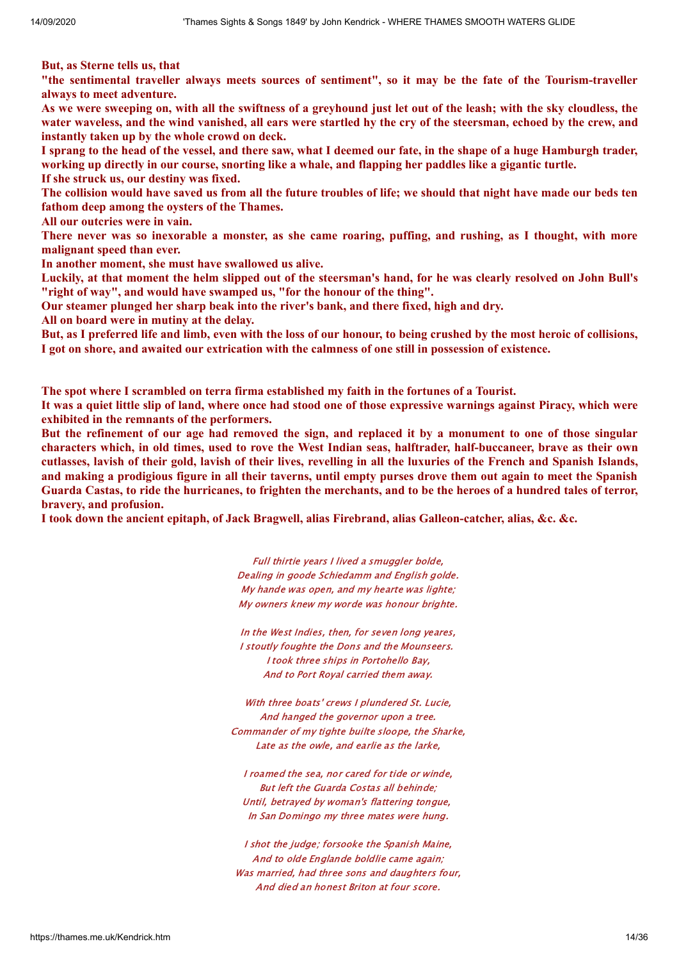**But, as Sterne tells us, that**

"the sentimental traveller always meets sources of sentiment", so it may be the fate of the Tourism-traveller **always to meet adventure.**

As we were sweeping on, with all the swiftness of a greyhound just let out of the leash; with the sky cloudless, the water waveless, and the wind vanished, all ears were startled hy the cry of the steersman, echoed by the crew, and **instantly taken up by the whole crowd on deck.**

I sprang to the head of the vessel, and there saw, what I deemed our fate, in the shape of a huge Hamburgh trader. working up directly in our course, snorting like a whale, and flapping her paddles like a gigantic turtle. **If she struck us, our destiny was fixed.**

The collision would have saved us from all the future troubles of life; we should that night have made our beds ten **fathom deep among the oysters of the Thames.**

**All our outcries were in vain.**

There never was so inexorable a monster, as she came roaring, puffing, and rushing, as I thought, with more **malignant speed than ever.**

**In another moment, she must have swallowed us alive.**

Luckily, at that moment the helm slipped out of the steersman's hand, for he was clearly resolved on John Bull's **"right of way", and would have swamped us, "for the honour of the thing".**

**Our steamer plunged her sharp beak into the river's bank, and there fixed, high and dry.**

**All on board were in mutiny at the delay.**

But, as I preferred life and limb, even with the loss of our honour, to being crushed by the most heroic of collisions, I got on shore, and awaited our extrication with the calmness of one still in possession of existence.

**The spot where I scrambled on terra firma established my faith in the fortunes of a Tourist.**

It was a quiet little slip of land, where once had stood one of those expressive warnings against Piracy, which were **exhibited in the remnants of the performers.**

But the refinement of our age had removed the sign, and replaced it by a monument to one of those singular characters which, in old times, used to rove the West Indian seas, halftrader, half-buccaneer, brave as their own cutlasses, lavish of their gold, lavish of their lives, revelling in all the luxuries of the French and Spanish Islands, and making a prodigious figure in all their taverns, until empty purses drove them out again to meet the Spanish Guarda Castas, to ride the hurricanes, to frighten the merchants, and to be the heroes of a hundred tales of terror, **bravery, and profusion.**

**I took down the ancient epitaph, of Jack Bragwell, alias Firebrand, alias Galleon-catcher, alias, &c. &c.**

Full thirtie years I lived a smuggler bolde, Dealing in goode Schiedamm and English golde. My hande was open, and my hearte was lighte; My owners knew my worde was honour brighte.

In the West Indies, then, for seven long yeares, I stoutly foughte the Dons and the Mounseers. I took three ships in Portohello Bay, And to Port Royal carried them away.

With three boats' crews I plundered St. Lucie, And hanged the governor upon a tree. Commander of my tighte builte sloope, the Sharke, Late as the owle, and earlie as the larke,

I roamed the sea, nor cared for tide or winde, But left the Guarda Costas all behinde; Until, betrayed by woman's flattering tongue, In San Domingo my three mates were hung.

I shot the judge; forsooke the Spanish Maine, And to olde Englande boldlie came again; Was married, had three sons and daughters four, And died an honest Briton at four score.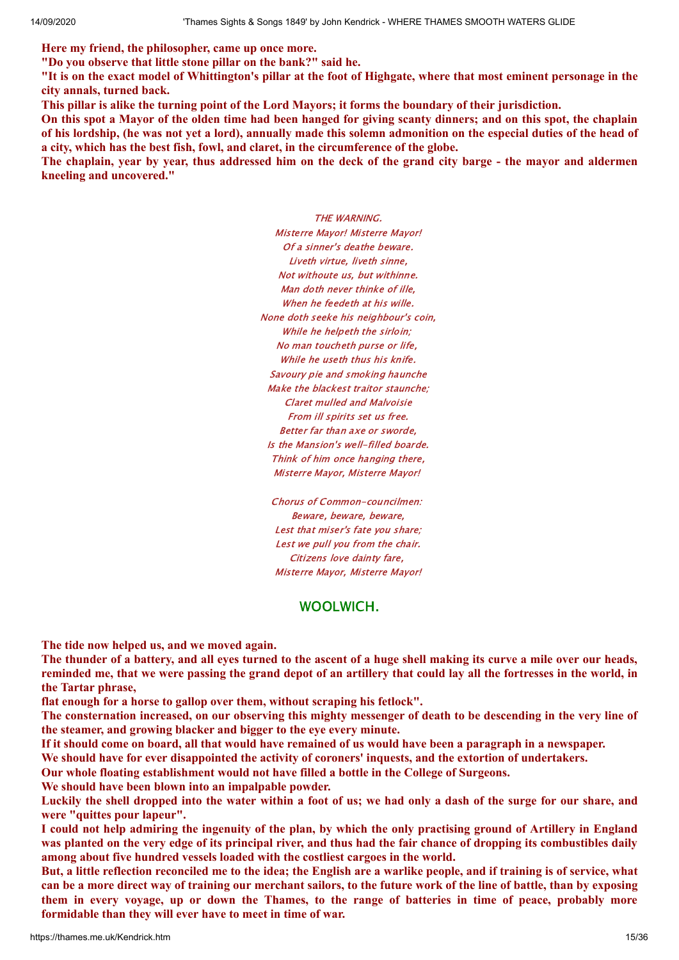**Here my friend, the philosopher, came up once more.**

**"Do you observe that little stone pillar on the bank?" said he.**

"It is on the exact model of Whittington's pillar at the foot of Highgate, where that most eminent personage in the **city annals, turned back.**

This pillar is alike the turning point of the Lord Mayors; it forms the boundary of their jurisdiction.

On this spot a Mayor of the olden time had been hanged for giving scanty dinners; and on this spot, the chaplain of his lordship, the was not yet a lord), annually made this solemn admonition on the especial duties of the head of **a city, which has the best fish, fowl, and claret, in the circumference of the globe.**

The chaplain, year by year, thus addressed him on the deck of the grand city barge - the mayor and aldermen **kneeling and uncovered."**

> THE WARNING. Misterre Mayor! Misterre Mayor! Of a sinner's deathe beware. Liveth virtue, liveth sinne, Not withoute us, but withinne. Man doth never thinke of ille, When he feedeth at his wille. None doth seeke his neighbour's coin, While he helpeth the sirloin; No man toucheth purse or life, While he useth thus his knife. Savoury pie and smoking haunche Make the blackest traitor staunche; Claret mulled and Malvoisie From ill spirits set us free. Better far than axe or sworde, Is the Mansion's well-filled boarde. Think of him once hanging there, Misterre Mayor, Misterre Mayor!

Chorus of Common-councilmen: Beware, beware, beware, Lest that miser's fate you share; Lest we pull you from the chair. Citizens love dainty fare, Misterre Mayor, Misterre Mayor!

# WOOLWICH.

**The tide now helped us, and we moved again.**

The thunder of a battery, and all eves turned to the ascent of a huge shell making its curve a mile over our heads, reminded me, that we were passing the grand depot of an artillery that could lay all the fortresses in the world, in **the Tartar phrase,**

**flat enough for a horse to gallop over them, without scraping his fetlock".**

The consternation increased, on our observing this mighty messenger of death to be descending in the very line of **the steamer, and growing blacker and bigger to the eye every minute.**

If it should come on board, all that would have remained of us would have been a paragraph in a newspaper.

**We should have for ever disappointed the activity of coroners' inquests, and the extortion of undertakers.**

**Our whole floating establishment would not have filled a bottle in the College of Surgeons.**

**We should have been blown into an impalpable powder.**

Luckily the shell dropped into the water within a foot of us; we had only a dash of the surge for our share, and **were "quittes pour lapeur".**

I could not help admiring the ingenuity of the plan, by which the only practising ground of Artillery in England was planted on the very edge of its principal river, and thus had the fair chance of dropping its combustibles daily **among about five hundred vessels loaded with the costliest cargoes in the world.**

But, a little reflection reconciled me to the idea; the English are a warlike people, and if training is of service, what can be a more direct way of training our merchant sailors, to the future work of the line of battle, than by exposing them in every voyage, up or down the Thames, to the range of batteries in time of peace, probably more **formidable than they will ever have to meet in time of war.**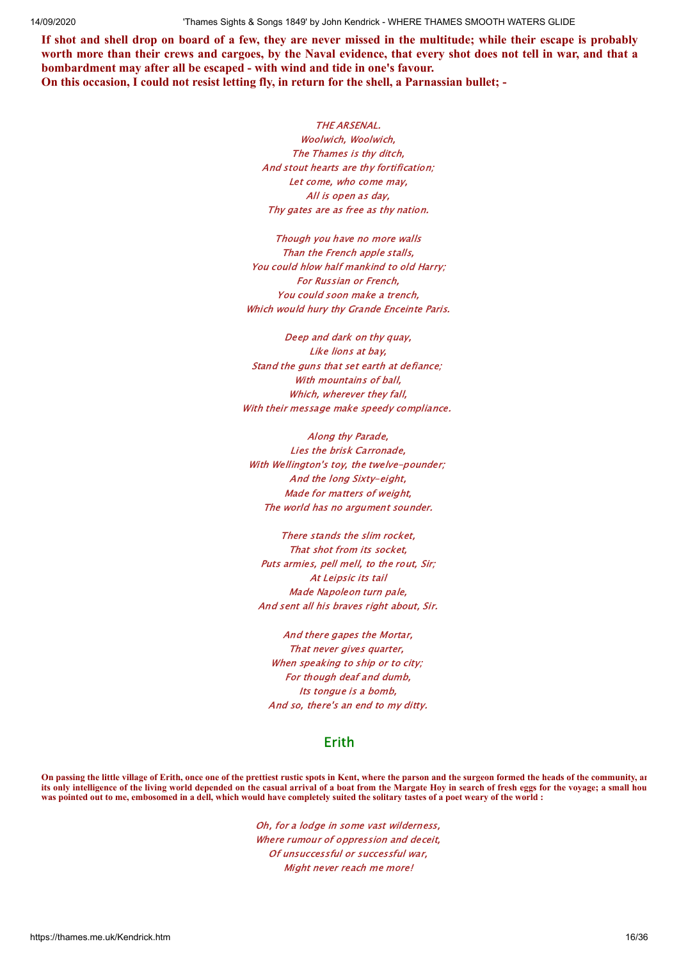If shot and shell drop on board of a few, they are never missed in the multitude; while their escape is probably worth more than their crews and cargoes, by the Naval evidence, that every shot does not tell in war, and that a **bombardment may after all be escaped - with wind and tide in one's favour. On this occasion, I could not resist letting fly, in return for the shell, a Parnassian bullet; -**

> THE ARSENAL. Woolwich, Woolwich, The Thames is thy ditch, And stout hearts are thy fortification; Let come, who come may, All is open as day, Thy gates are as free as thy nation.

Though you have no more walls Than the French apple stalls, You could hlow half mankind to old Harry; For Russian or French, You could soon make a trench, Which would hury thy Grande Enceinte Paris.

Deep and dark on thy quay, Like lions at bay, Stand the guns that set earth at defiance; With mountains of ball, Which, wherever they fall, With their message make speedy compliance.

Along thy Parade, Lies the brisk Carronade, With Wellington's toy, the twelve-pounder; And the long Sixty-eight, Made for matters of weight, The world has no argument sounder.

There stands the slim rocket, That shot from its socket, Puts armies, pell mell, to the rout, Sir; At Leipsic its tail Made Napoleon turn pale, And sent all his braves right about, Sir.

And there gapes the Mortar, That never gives quarter, When speaking to ship or to city; For though deaf and dumb, Its tongue is a bomb, And so, there's an end to my ditty.

## Erith

**On passing the little village of Erith, once one of the prettiest rustic spots in Kent, where the parson and the surgeon formed the heads of the community, an its only intelligence of the living world depended on the casual arrival of a boat from the Margate Hoy in search of fresh eggs for the voyage; a small hou was pointed out to me, embosomed in a dell, which would have completely suited the solitary tastes of a poet weary of the world :**

> Oh, for a lodge in some vast wilderness, Where rumour of oppression and deceit, Of unsuccessful or successful war, Might never reach me more!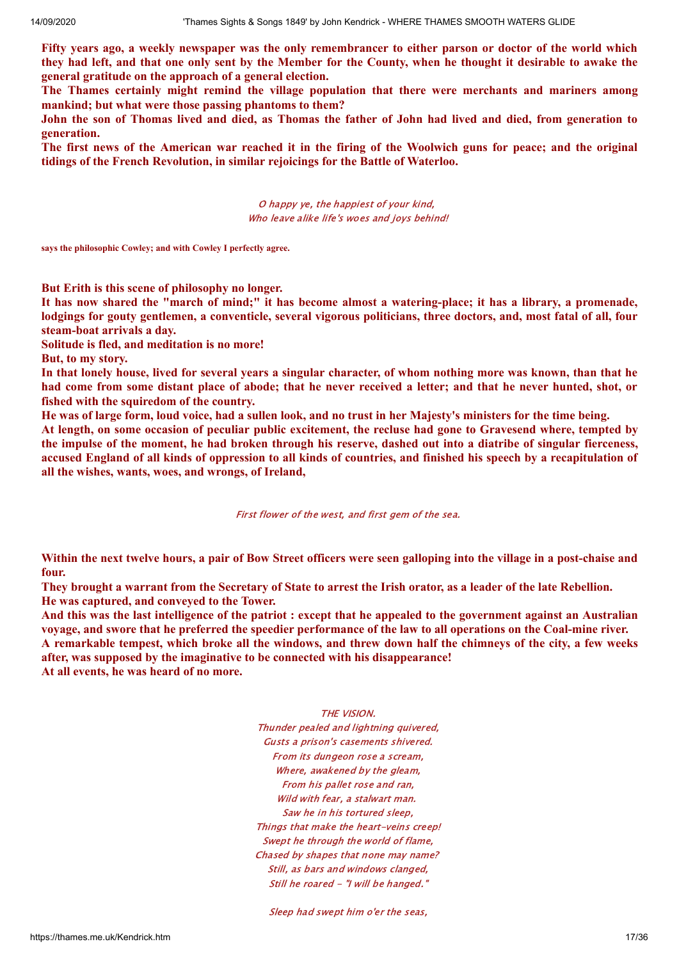Fifty years ago, a weekly newspaper was the only remembrancer to either parson or doctor of the world which they had left, and that one only sent by the Member for the County, when he thought it desirable to awake the **general gratitude on the approach of a general election.**

**The Thames certainly might remind the village population that there were merchants and mariners among mankind; but what were those passing phantoms to them?**

John the son of Thomas lived and died, as Thomas the father of John had lived and died, from generation to **generation.**

The first news of the American war reached it in the firing of the Woolwich guns for peace; and the original **tidings of the French Revolution, in similar rejoicings for the Battle of Waterloo.**

> O happy ye, the happiest of your kind, Who leave alike life's woes and joys behind!

**says the philosophic Cowley; and with Cowley I perfectly agree.**

**But Erith is this scene of philosophy no longer.**

It has now shared the "march of mind;" it has become almost a watering-place; it has a library, a promenade, lodgings for gouty gentlemen, a conventicle, several vigorous politicians, three doctors, and, most fatal of all, four **steam-boat arrivals a day.**

**Solitude is fled, and meditation is no more!**

**But, to my story.**

In that lonely house, lived for several years a singular character, of whom nothing more was known, than that he had come from some distant place of abode; that he never received a letter; and that he never hunted, shot, or **fished with the squiredom of the country.**

He was of large form, loud voice, had a sullen look, and no trust in her Majesty's ministers for the time being.

At length, on some occasion of peculiar public excitement, the recluse had gone to Gravesend where, tempted by the impulse of the moment, he had broken through his reserve, dashed out into a diatribe of singular fierceness, accused England of all kinds of oppression to all kinds of countries, and finished his speech by a recapitulation of **all the wishes, wants, woes, and wrongs, of Ireland,**

First flower of the west, and first gem of the sea.

Within the next twelve hours, a pair of Bow Street officers were seen galloping into the village in a post-chaise and **four.**

They brought a warrant from the Secretary of State to arrest the Irish orator, as a leader of the late Rebellion. **He was captured, and conveyed to the Tower.**

And this was the last intelligence of the patriot : except that he appealed to the government against an Australian voyage, and swore that he preferred the speedier performance of the law to all operations on the Coal-mine river. A remarkable tempest, which broke all the windows, and threw down half the chimneys of the city, a few weeks **after, was supposed by the imaginative to be connected with his disappearance! At all events, he was heard of no more.**

#### THE VISION.

Thunder pealed and lightning quivered, Gusts a prison's casements shivered. From its dungeon rose a scream, Where, awakened by the gleam, From his pallet rose and ran, Wild with fear, a stalwart man. Saw he in his tortured sleep, Things that make the heart-veins creep! Swept he through the world of flame, Chased by shapes that none may name? Still, as bars and windows clanged, Still he roared - "I will be hanged."

Sleep had swept him o'er the seas,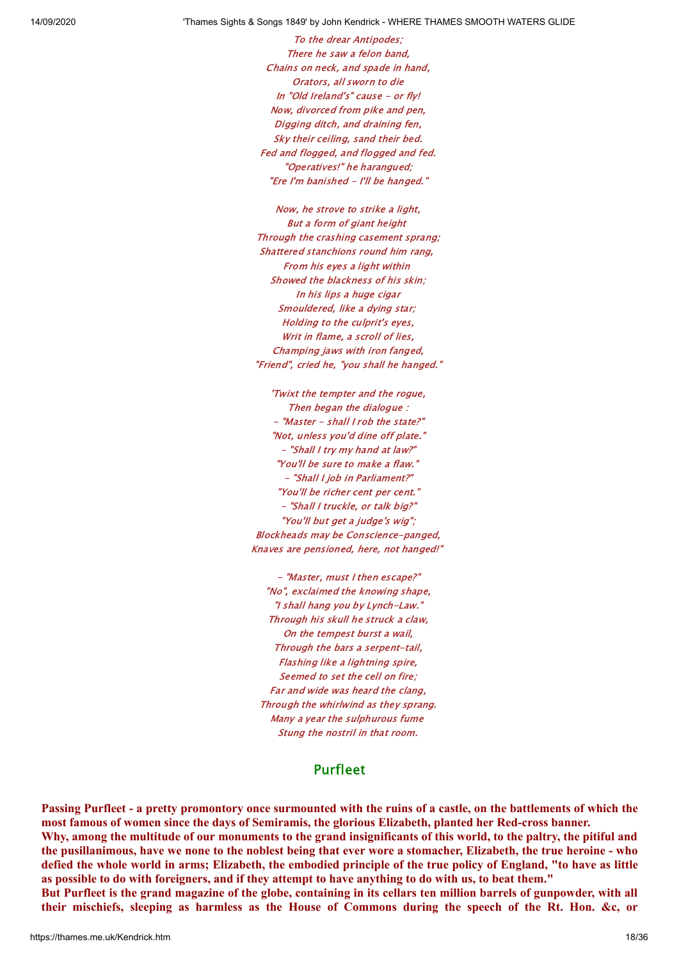To the drear Antipodes; There he saw a felon band, Chains on neck, and spade in hand, Orators, all sworn to die In "Old Ireland's" cause - or fly! Now, divorced from pike and pen, Digging ditch, and draining fen, Sky their ceiling, sand their bed. Fed and flogged, and flogged and fed. "Operatives!" he harangued; "Ere I'm banished - I'll be hanged."

Now, he strove to strike a light, But a form of giant height Through the crashing casement sprang; Shattered stanchions round him rang, From his eyes a light within Showed the blackness of his skin; In his lips a huge cigar Smouldered, like a dying star; Holding to the culprit's eyes, Writ in flame, a scroll of lies. Champing jaws with iron fanged, "Friend", cried he, "you shall he hanged."

'Twixt the tempter and the rogue, Then began the dialogue : - "Master - shall I rob the state?" "Not, unless you'd dine off plate." - "Shall I try my hand at law?" "You'll be sure to make a flaw." - "Shall I job in Parliament?" "You'll be richer cent per cent." - "Shall I truckle, or talk big?" "You'll but get a judge's wig"; Blockheads may be Conscience-panged, Knaves are pensioned, here, not hanged!"

- "Master, must I then escape?" "No", exclaimed the knowing shape, "I shall hang you by Lynch-Law." Through his skull he struck a claw, On the tempest burst a wail, Through the bars a serpent-tail, Flashing like a lightning spire, Seemed to set the cell on fire; Far and wide was heard the clang, Through the whirlwind as they sprang. Many a year the sulphurous fume Stung the nostril in that room.

### Purfleet

Passing Purfleet - a pretty promontory once surmounted with the ruins of a castle, on the battlements of which the **most famous of women since the days of Semiramis, the glorious Elizabeth, planted her Red-cross banner.** Why, among the multitude of our monuments to the grand insignificants of this world, to the paltry, the pitiful and the pusillanimous, have we none to the noblest being that ever wore a stomacher, Elizabeth, the true heroine - who defied the whole world in arms; Elizabeth, the embodied principle of the true policy of England, "to have as little as possible to do with foreigners, and if they attempt to have anything to do with us, to beat them." But Purfleet is the grand magazine of the globe, containing in its cellars ten million barrels of gunpowder, with all their mischiefs, sleeping as harmless as the House of Commons during the speech of the Rt. Hon. &c, or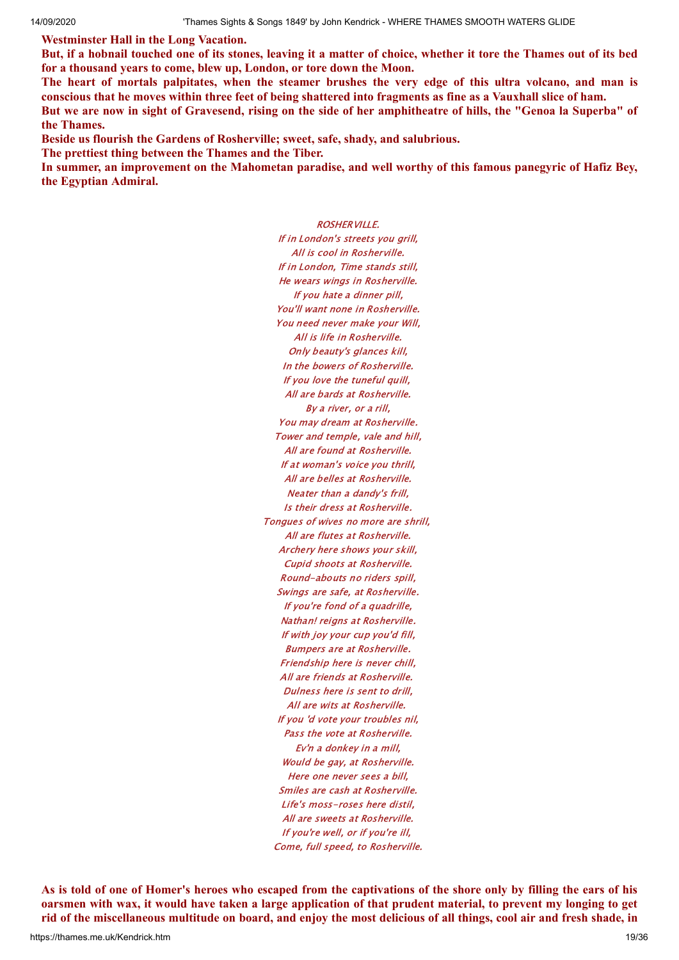**Westminster Hall in the Long Vacation.**

But, if a hobnail touched one of its stones, leaving it a matter of choice, whether it tore the Thames out of its bed **for a thousand years to come, blew up, London, or tore down the Moon.**

The heart of mortals palpitates, when the steamer brushes the very edge of this ultra volcano, and man is conscious that he moves within three feet of being shattered into fragments as fine as a Vauxhall slice of ham. But we are now in sight of Gravesend, rising on the side of her amphitheatre of hills, the "Genoa la Superba" of **the Thames.**

**Beside us flourish the Gardens of Rosherville; sweet, safe, shady, and salubrious.**

**The prettiest thing between the Thames and the Tiber.**

In summer, an improvement on the Mahometan paradise, and well worthy of this famous panegyric of Hafiz Bey, **the Egyptian Admiral.**

> ROSHERVILLE. If in London's streets you grill, All is cool in Rosherville. If in London, Time stands still, He wears wings in Rosherville. If you hate a dinner pill, You'll want none in Rosherville. You need never make your Will, All is life in Rosherville. Only beauty's glances kill, In the bowers of Rosherville. If you love the tuneful quill, All are bards at Rosherville. By a river, or a rill, You may dream at Rosherville. Tower and temple, vale and hill, All are found at Rosherville. If at woman's voice you thrill, All are belles at Rosherville. Neater than a dandy's frill, Is their dress at Rosherville. Tongues of wives no more are shrill, All are flutes at Rosherville. Archery here shows your skill, Cupid shoots at Rosherville. Round-abouts no riders spill, Swings are safe, at Rosherville. If you're fond of a quadrille, Nathan! reigns at Rosherville. If with joy your cup you'd fill, Bumpers are at Rosherville. Friendship here is never chill, All are friends at Rosherville. Dulness here is sent to drill, All are wits at Rosherville. If you 'd vote your troubles nil, Pass the vote at Rosherville. Ev'n a donkey in a mill, Would be gay, at Rosherville. Here one never sees a bill, Smiles are cash at Rosherville. Life's moss-roses here distil, All are sweets at Rosherville. If you're well, or if you're ill, Come, full speed, to Rosherville.

As is told of one of Homer's heroes who escaped from the captivations of the shore only by filling the ears of his oarsmen with wax, it would have taken a large application of that prudent material, to prevent my longing to get rid of the miscellaneous multitude on board, and enjoy the most delicious of all things, cool air and fresh shade, in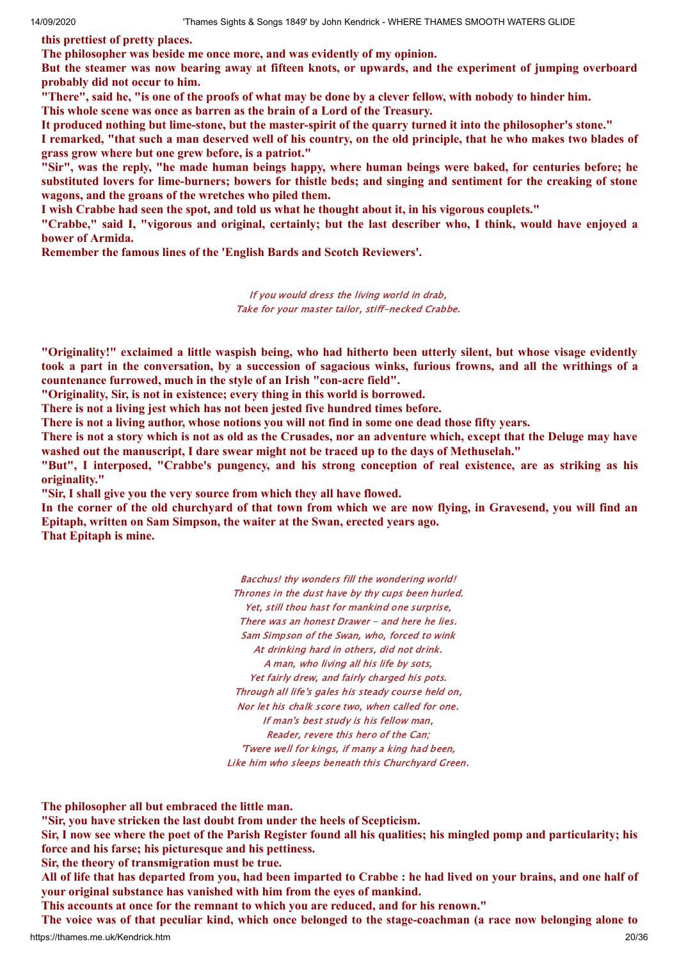**this prettiest of pretty places.**

**The philosopher was beside me once more, and was evidently of my opinion.**

But the steamer was now bearing away at fifteen knots, or upwards, and the experiment of jumping overboard **probably did not occur to him.**

"There", said he, "is one of the proofs of what may be done by a clever fellow, with nobody to hinder him.

**This whole scene was once as barren as the brain of a Lord of the Treasury.**

It produced nothing but lime-stone, but the master-spirit of the quarry turned it into the philosopher's stone."

I remarked, "that such a man deserved well of his country, on the old principle, that he who makes two blades of **grass grow where but one grew before, is a patriot."**

"Sir", was the reply, "he made human beings happy, where human beings were baked, for centuries before; he substituted lovers for lime-burners; bowers for thistle beds; and singing and sentiment for the creaking of stone **wagons, and the groans of the wretches who piled them.**

I wish Crabbe had seen the spot, and told us what he thought about it, in his vigorous couplets."

"Crabbe," said I, "vigorous and original, certainly; but the last describer who, I think, would have enjoved a **bower of Armida.**

**Remember the famous lines of the 'English Bards and Scotch Reviewers'.**

If you would dress the living world in drab, Take for your master tailor, stiff-necked Crabbe.

"Originality!" exclaimed a little waspish being, who had hitherto been utterly silent, but whose visage evidently took a part in the conversation, by a succession of sagacious winks, furious frowns, and all the writhings of a **countenance furrowed, much in the style of an Irish "con-acre field".**

**"Originality, Sir, is not in existence; every thing in this world is borrowed.**

**There is not a living jest which has not been jested five hundred times before.**

There is not a living author, whose notions you will not find in some one dead those fifty years.

There is not a story which is not as old as the Crusades, nor an adventure which, except that the Deluge may have **washed out the manuscript, I dare swear might not be traced up to the days of Methuselah."**

"But", I interposed, "Crabbe's pungency, and his strong conception of real existence, are as striking as his **originality."**

**"Sir, I shall give you the very source from which they all have flowed.**

In the corner of the old churchyard of that town from which we are now flying, in Gravesend, you will find an **Epitaph, written on Sam Simpson, the waiter at the Swan, erected years ago. That Epitaph is mine.**

> Bacchus! thy wonders fill the wondering world! Thrones in the dust have by thy cups been hurled. Yet, still thou hast for mankind one surprise, There was an honest Drawer - and here he lies. Sam Simpson of the Swan, who, forced to wink At drinking hard in others, did not drink. A man, who living all his life by sots, Yet fairly drew, and fairly charged his pots. Through all life's gales his steady course held on, Nor let his chalk score two, when called for one. If man's best study is his fellow man, Reader, revere this hero of the Can; 'Twere well for kings, if many a king had been, Like him who sleeps beneath this Churchyard Green.

**The philosopher all but embraced the little man.**

**"Sir, you have stricken the last doubt from under the heels of Scepticism.**

Sir, I now see where the poet of the Parish Register found all his qualities; his mingled pomp and particularity; his **force and his farse; his picturesque and his pettiness.**

**Sir, the theory of transmigration must be true.**

All of life that has departed from you, had been imparted to Crabbe : he had lived on your brains, and one half of **your original substance has vanished with him from the eyes of mankind.**

**This accounts at once for the remnant to which you are reduced, and for his renown."**

https://thames.me.uk/Kendrick.htm 20/36 The voice was of that peculiar kind, which once belonged to the stage-coachman (a race now belonging alone to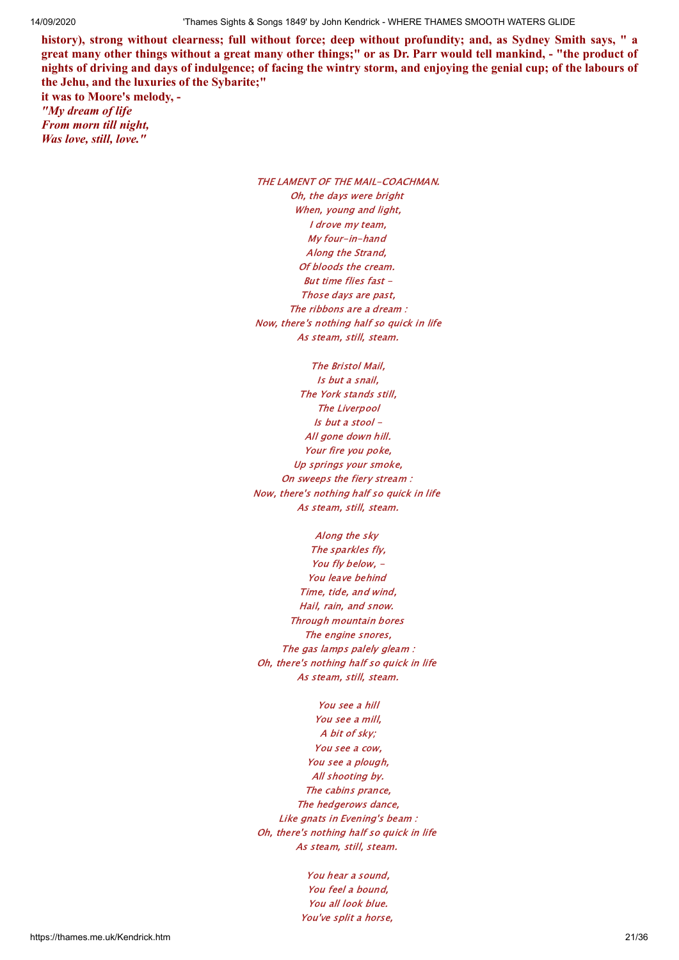history), strong without clearness; full without force; deep without profundity; and, as Sydney Smith says, " a great many other things without a great many other things;" or as Dr. Parr would tell mankind, - "the product of nights of driving and days of indulgence; of facing the wintry storm, and enjoying the genial cup; of the labours of **the Jehu, and the luxuries of the Sybarite;"**

**it was to Moore's melody, -** *"My dream of life From morn till night, Was love, still, love."*

> THE LAMENT OF THE MAIL-COACHMAN. Oh, the days were bright When, young and light, I drove my team, My four-in-hand Along the Strand, Of bloods the cream. But time flies fast - Those days are past, The ribbons are a dream : Now, there's nothing half so quick in life As steam, still, steam.

The Bristol Mail, Is but a snail, The York stands still, The Liverpool Is but a stool - All gone down hill. Your fire you poke, Up springs your smoke, On sweeps the fiery stream : Now, there's nothing half so quick in life As steam, still, steam.

Along the sky The sparkles fly, You fly below, -You leave behind Time, tide, and wind, Hail, rain, and snow. Through mountain bores The engine snores, The gas lamps palely gleam : Oh, there's nothing half so quick in life As steam, still, steam.

You see a hill You see a mill, A bit of sky; You see a cow, You see a plough, All shooting by. The cabins prance, The hedgerows dance, Like gnats in Evening's beam : Oh, there's nothing half so quick in life As steam, still, steam.

> You hear a sound, You feel a bound, You all look blue. You've split a horse,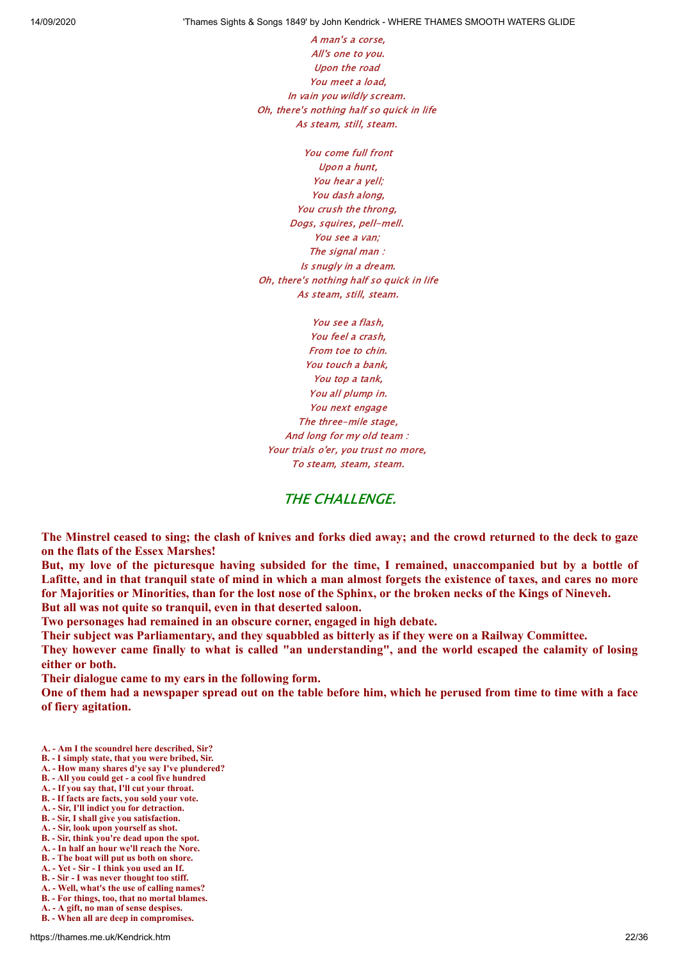A man's a corse, All's one to you. Upon the road You meet a load, In vain you wildly scream. Oh, there's nothing half so quick in life As steam, still, steam.

You come full front Upon a hunt, You hear a yell; You dash along, You crush the throng, Dogs, squires, pell-mell. You see a van; The signal man : Is snugly in a dream. Oh, there's nothing half so quick in life As steam, still, steam.

You see a flash, You feel a crash, From toe to chin. You touch a bank, You top a tank, You all plump in. You next engage The three-mile stage, And long for my old team : Your trials o'er, you trust no more, To steam, steam, steam.

#### THE CHALLENGE.

The Minstrel ceased to sing; the clash of knives and forks died away; and the crowd returned to the deck to gaze **on the flats of the Essex Marshes!**

But, my love of the picturesque having subsided for the time, I remained, unaccompanied but by a bottle of Lafitte, and in that tranquil state of mind in which a man almost forgets the existence of taxes, and cares no more for Majorities or Minorities, than for the lost nose of the Sphinx, or the broken necks of the Kings of Nineveh. **But all was not quite so tranquil, even in that deserted saloon.**

**Two personages had remained in an obscure corner, engaged in high debate.**

**Their subject was Parliamentary, and they squabbled as bitterly as if they were on a Railway Committee.**

They however came finally to what is called "an understanding", and the world escaped the calamity of losing **either or both.**

**Their dialogue came to my ears in the following form.**

One of them had a newspaper spread out on the table before him, which he perused from time to time with a face **of fiery agitation.**

- **A. Am I the scoundrel here described, Sir?**
- **B. I simply state, that you were bribed, Sir.**
- **A. How many shares d'ye say I've plundered? B. - All you could get - a cool five hundred**
- **A. If you say that, I'll cut your throat.**
- **B. If facts are facts, you sold your vote.**
- **A. Sir, I'll indict you for detraction.**
- **B. Sir, I shall give you satisfaction.**
- **A. Sir, look upon yourself as shot.**
- **B. Sir, think you're dead upon the spot.**
- **A. In half an hour we'll reach the Nore.**
- **B. The boat will put us both on shore.**
- **A. Yet Sir I think you used an If.**
- **B. Sir I was never thought too stiff.**
- **A. Well, what's the use of calling names?**
- **B. For things, too, that no mortal blames.**
- **A. A gift, no man of sense despises. B. - When all are deep in compromises.**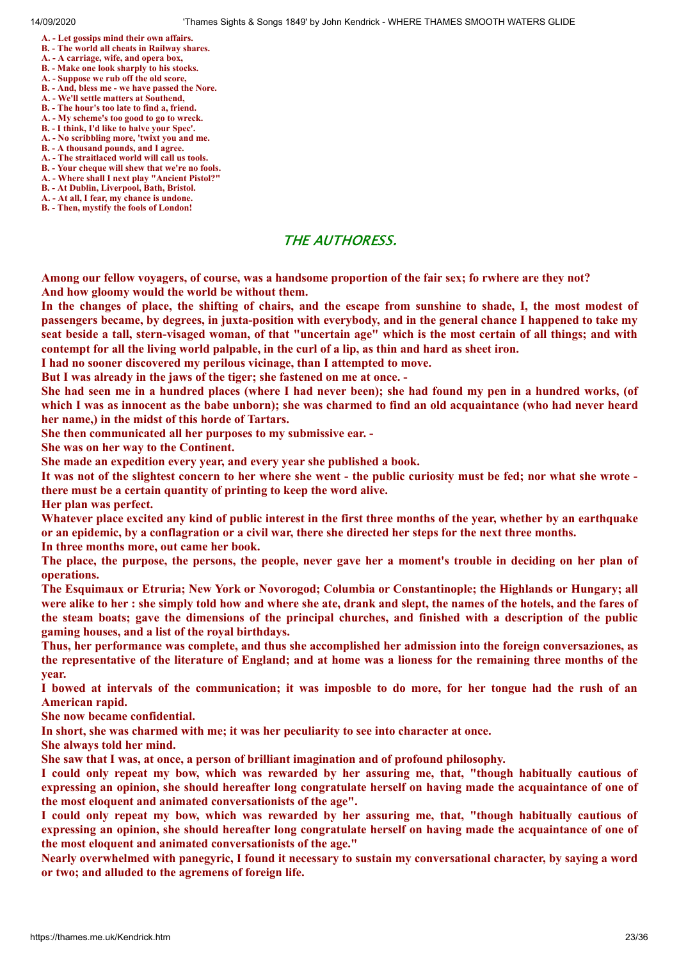- **A. Let gossips mind their own affairs.**
- **B. The world all cheats in Railway shares.**
- **A. A carriage, wife, and opera box,**
- **B. Make one look sharply to his stocks.**
- **A. Suppose we rub off the old score,**
- **B. And, bless me we have passed the Nore.**
- **A. We'll settle matters at Southend,**
- **B. The hour's too late to find a, friend. A. - My scheme's too good to go to wreck.**
- **B. I think, I'd like to halve your Spec'.**
- **A. No scribbling more, 'twixt you and me.**
- **B. A thousand pounds, and I agree.**
- **A. The straitlaced world will call us tools.**
- **B. Your cheque will shew that we're no fools.**
- **A. Where shall I next play "Ancient Pistol?"**
- **B. At Dublin, Liverpool, Bath, Bristol.**
- **A. At all, I fear, my chance is undone. B. - Then, mystify the fools of London!**
- THE AUTHORESS.

Among our fellow voyagers, of course, was a handsome proportion of the fair sex; fo rwhere are they not? **And how gloomy would the world be without them.**

In the changes of place, the shifting of chairs, and the escape from sunshine to shade, I, the most modest of passengers became, by degrees, in juxta-position with everybody, and in the general chance I happened to take my seat beside a tall, stern-visaged woman, of that "uncertain age" which is the most certain of all things; and with contempt for all the living world palpable, in the curl of a lip, as thin and hard as sheet iron.

**I had no sooner discovered my perilous vicinage, than I attempted to move.**

**But I was already in the jaws of the tiger; she fastened on me at once. -**

She had seen me in a hundred places (where I had never been); she had found my pen in a hundred works, (of which I was as innocent as the babe unborn); she was charmed to find an old acquaintance (who had never heard **her name,) in the midst of this horde of Tartars.**

**She then communicated all her purposes to my submissive ear. -**

**She was on her way to the Continent.**

**She made an expedition every year, and every year she published a book.**

It was not of the slightest concern to her where she went - the public curiosity must be fed; nor what she wrote **there must be a certain quantity of printing to keep the word alive.**

**Her plan was perfect.**

Whatever place excited any kind of public interest in the first three months of the year, whether by an earthquake or an epidemic, by a conflagration or a civil war, there she directed her steps for the next three months.

**In three months more, out came her book.**

The place, the purpose, the persons, the people, never gave her a moment's trouble in deciding on her plan of **operations.**

**The Esquimaux or Etruria; New York or Novorogod; Columbia or Constantinople; the Highlands or Hungary; all** were alike to her : she simply told how and where she ate, drank and slept, the names of the hotels, and the fares of the steam boats; gave the dimensions of the principal churches, and finished with a description of the public **gaming houses, and a list of the royal birthdays.**

**Thus, her performance was complete, and thus she accomplished her admission into the foreign conversaziones, as** the representative of the literature of England; and at home was a lioness for the remaining three months of the **year.**

I bowed at intervals of the communication; it was imposble to do more, for her tongue had the rush of an **American rapid.**

**She now became confidential.**

**In short, she was charmed with me; it was her peculiarity to see into character at once.**

**She always told her mind.**

**She saw that I was, at once, a person of brilliant imagination and of profound philosophy.**

I could only repeat my bow, which was rewarded by her assuring me, that, "though habitually cautious of expressing an opinion, she should hereafter long congratulate herself on having made the acquaintance of one of **the most eloquent and animated conversationists of the age".**

I could only repeat my bow, which was rewarded by her assuring me, that, "though habitually cautious of expressing an opinion, she should hereafter long congratulate herself on having made the acquaintance of one of **the most eloquent and animated conversationists of the age."**

Nearly overwhelmed with panegyric, I found it necessary to sustain my conversational character, by saving a word **or two; and alluded to the agremens of foreign life.**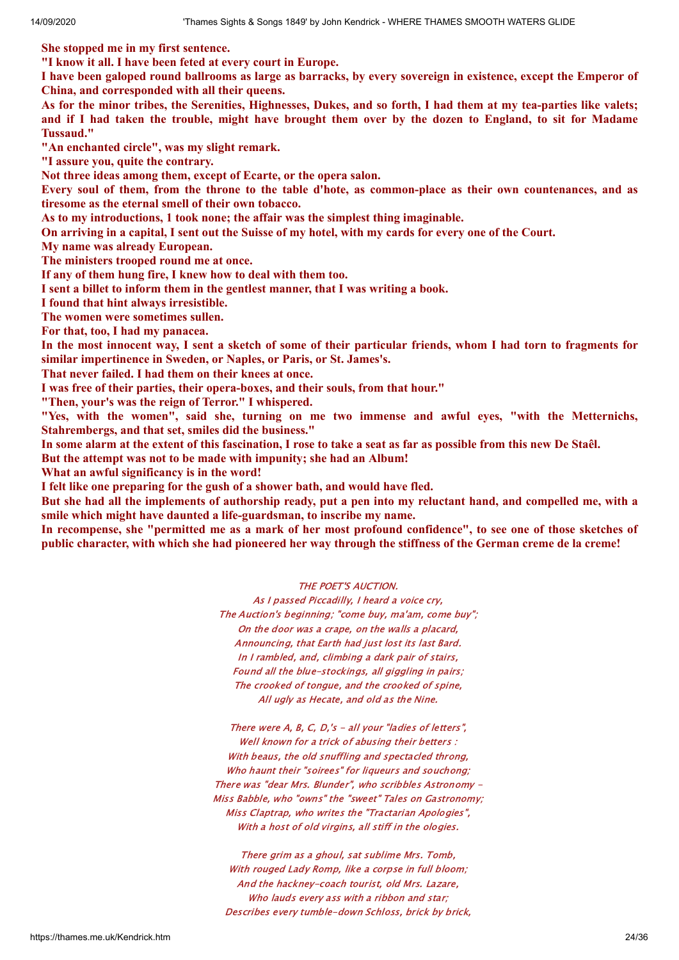**She stopped me in my first sentence.**

**"I know it all. I have been feted at every court in Europe.**

I have been galoped round ballrooms as large as barracks, by every sovereign in existence, except the Emperor of **China, and corresponded with all their queens.**

As for the minor tribes, the Serenities, Highnesses, Dukes, and so forth, I had them at my tea-parties like valets; and if I had taken the trouble, might have brought them over by the dozen to England, to sit for Madame **Tussaud."**

**"An enchanted circle", was my slight remark.**

**"I assure you, quite the contrary.**

**Not three ideas among them, except of Ecarte, or the opera salon.**

Every soul of them, from the throne to the table d'hote, as common-place as their own countenances, and as **tiresome as the eternal smell of their own tobacco.**

**As to my introductions, 1 took none; the affair was the simplest thing imaginable.**

On arriving in a capital, I sent out the Suisse of my hotel, with my cards for every one of the Court.

**My name was already European.**

**The ministers trooped round me at once.**

**If any of them hung fire, I knew how to deal with them too.**

**I sent a billet to inform them in the gentlest manner, that I was writing a book.**

**I found that hint always irresistible.**

**The women were sometimes sullen.**

**For that, too, I had my panacea.**

In the most innocent way, I sent a sketch of some of their particular friends, whom I had torn to fragments for **similar impertinence in Sweden, or Naples, or Paris, or St. James's.**

**That never failed. I had them on their knees at once.**

**I was free of their parties, their opera-boxes, and their souls, from that hour."**

**"Then, your's was the reign of Terror." I whispered.**

**"Yes, with the women", said she, turning on me two immense and awful eyes, "with the Metternichs, Stahrembergs, and that set, smiles did the business."**

In some alarm at the extent of this fascination. I rose to take a seat as far as possible from this new De Staêl.

**But the attempt was not to be made with impunity; she had an Album!**

**What an awful significancy is in the word!**

**I felt like one preparing for the gush of a shower bath, and would have fled.**

But she had all the implements of authorship ready, put a pen into my reluctant hand, and compelled me, with a **smile which might have daunted a life-guardsman, to inscribe my name.**

In recompense, she "permitted me as a mark of her most profound confidence", to see one of those sketches of public character, with which she had pioneered her way through the stiffness of the German creme de la creme!

THE POET'S AUCTION.

As I passed Piccadilly, I heard a voice cry, The Auction's beginning; "come buy, ma'am, come buy"; On the door was a crape, on the walls a placard, Announcing, that Earth had just lost its last Bard. In I rambled, and, climbing a dark pair of stairs, Found all the blue-stockings, all giggling in pairs; The crooked of tongue, and the crooked of spine, All ugly as Hecate, and old as the Nine.

There were A, B, C, D,'s - all your "ladies of letters", Well known for a trick of abusing their betters : With beaus, the old snuffling and spectacled throng, Who haunt their "soirees" for liqueurs and souchong; There was "dear Mrs. Blunder", who scribbles Astronomy - Miss Babble, who "owns" the "sweet" Tales on Gastronomy; Miss Claptrap, who writes the "Tractarian Apologies", With a host of old virgins, all stiff in the ologies.

There grim as a ghoul, sat sublime Mrs. Tomb, With rouged Lady Romp, like a corpse in full bloom; And the hackney-coach tourist, old Mrs. Lazare, Who lauds every ass with a ribbon and star; Describes every tumble-down Schloss, brick by brick,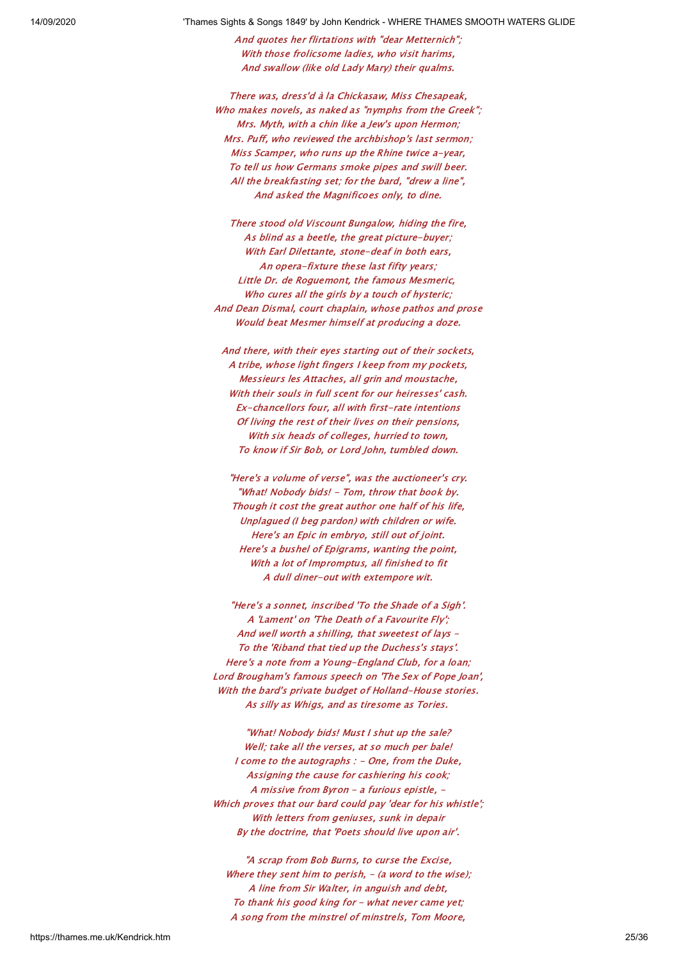And quotes her flirtations with "dear Metternich"; With those frolicsome ladies, who visit harims, And swallow (like old Lady Mary) their qualms.

There was, dress'd à la Chickasaw, Miss Chesapeak, Who makes novels, as naked as "nymphs from the Greek"; Mrs. Myth, with a chin like a Jew's upon Hermon; Mrs. Puff, who reviewed the archbishop's last sermon; Miss Scamper, who runs up the Rhine twice a-year, To tell us how Germans smoke pipes and swill beer. All the breakfasting set; for the bard, "drew a line", And asked the Magnificoes only, to dine.

There stood old Viscount Bungalow, hiding the fire, As blind as a beetle, the great picture-buyer; With Earl Dilettante, stone-deaf in both ears, An opera-fixture these last fifty years; Little Dr. de Roguemont, the famous Mesmeric, Who cures all the girls by a touch of hysteric; And Dean Dismal, court chaplain, whose pathos and prose Would beat Mesmer himself at producing a doze.

And there, with their eyes starting out of their sockets, A tribe, whose light fingers I keep from my pockets, Messieurs les Attaches, all grin and moustache, With their souls in full scent for our heiresses' cash. Ex-chancellors four, all with first-rate intentions Of living the rest of their lives on their pensions, With six heads of colleges, hurried to town, To know if Sir Bob, or Lord John, tumbled down.

"Here's a volume of verse", was the auctioneer's cry. "What! Nobody bids! - Tom, throw that book by. Though it cost the great author one half of his life, Unplagued (I beg pardon) with children or wife. Here's an Epic in embryo, still out of joint. Here's a bushel of Epigrams, wanting the point, With a lot of Impromptus, all finished to fit A dull diner-out with extempore wit.

"Here's a sonnet, inscribed 'To the Shade of a Sigh'. A 'Lament' on 'The Death of a Favourite Fly'; And well worth a shilling, that sweetest of lays - To the 'Riband that tied up the Duchess's stays'. Here's a note from a Young-England Club, for a loan; Lord Brougham's famous speech on 'The Sex of Pope Joan', With the bard's private budget of Holland-House stories. As silly as Whigs, and as tiresome as Tories.

"What! Nobody bids! Must I shut up the sale? Well; take all the verses, at so much per bale! I come to the autographs : - One, from the Duke, Assigning the cause for cashiering his cook; A missive from Byron - a furious epistle, -Which proves that our bard could pay 'dear for his whistle'; With letters from geniuses, sunk in depair By the doctrine, that 'Poets should live upon air'.

"A scrap from Bob Burns, to curse the Excise, Where they sent him to perish,  $-$  (a word to the wise); A line from Sir Walter, in anguish and debt, To thank his good king for - what never came yet; A song from the minstrel of minstrels, Tom Moore,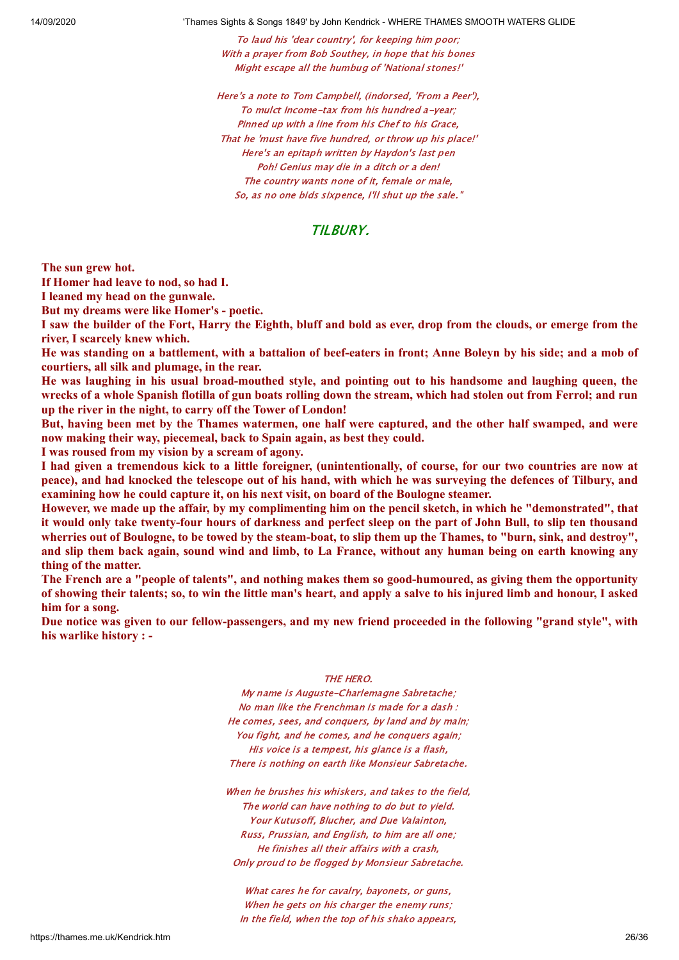To laud his 'dear country', for keeping him poor; With a prayer from Bob Southey, in hope that his bones Might escape all the humbug of 'National stones!'

Here's a note to Tom Campbell, (indorsed, 'From a Peer'), To mulct Income-tax from his hundred a-year; Pinned up with a line from his Chef to his Grace, That he 'must have five hundred, or throw up his place!' Here's an epitaph written by Haydon's last pen Poh! Genius may die in a ditch or a den! The country wants none of it, female or male, So, as no one bids sixpence, I'll shut up the sale."

### TILBURY.

**The sun grew hot.**

**If Homer had leave to nod, so had I.**

**I leaned my head on the gunwale.**

**But my dreams were like Homer's - poetic.**

I saw the builder of the Fort, Harry the Eighth, bluff and bold as ever, drop from the clouds, or emerge from the **river, I scarcely knew which.**

He was standing on a battlement, with a battalion of beef-eaters in front: Anne Bolevn by his side; and a mob of **courtiers, all silk and plumage, in the rear.**

He was laughing in his usual broad-mouthed style, and pointing out to his handsome and laughing queen, the wrecks of a whole Spanish flotilla of gun boats rolling down the stream, which had stolen out from Ferrol; and run **up the river in the night, to carry off the Tower of London!**

But, having been met by the Thames watermen, one half were captured, and the other half swamped, and were **now making their way, piecemeal, back to Spain again, as best they could.**

**I was roused from my vision by a scream of agony.**

I had given a tremendous kick to a little foreigner, (unintentionally, of course, for our two countries are now at peace), and had knocked the telescope out of his hand, with which he was surveying the defences of Tilbury, and **examining how he could capture it, on his next visit, on board of the Boulogne steamer.**

However, we made up the affair, by my complimenting him on the pencil sketch, in which he "demonstrated", that it would only take twenty-four hours of darkness and perfect sleep on the part of John Bull, to slip ten thousand wherries out of Boulogne, to be towed by the steam-boat, to slip them up the Thames, to "burn, sink, and destroy", and slip them back again, sound wind and limb, to La France, without any human being on earth knowing any **thing of the matter.**

The French are a "people of talents", and nothing makes them so good-humoured, as giving them the opportunity of showing their talents; so, to win the little man's heart, and apply a salve to his injured limb and honour, I asked **him for a song.**

Due notice was given to our fellow-passengers, and my new friend proceeded in the following "grand style", with **his warlike history : -**

#### THE HERO.

My name is Auguste-Charlemagne Sabretache; No man like the Frenchman is made for a dash : He comes, sees, and conquers, by land and by main; You fight, and he comes, and he conquers again; His voice is a tempest, his glance is a flash, There is nothing on earth like Monsieur Sabretache.

When he brushes his whiskers, and takes to the field, The world can have nothing to do but to yield. Your Kutusoff, Blucher, and Due Valainton, Russ, Prussian, and English, to him are all one; He finishes all their affairs with a crash, Only proud to be flogged by Monsieur Sabretache.

What cares he for cavalry, bayonets, or guns, When he gets on his charger the enemy runs; In the field, when the top of his shako appears,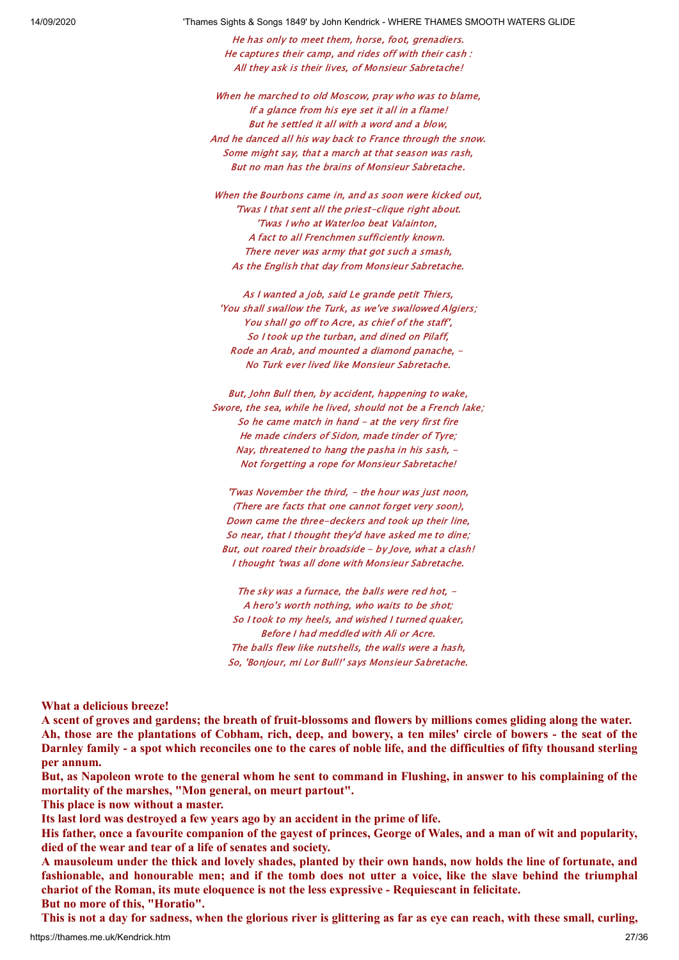He has only to meet them, horse, foot, grenadiers. He captures their camp, and rides off with their cash : All they ask is their lives, of Monsieur Sabretache!

When he marched to old Moscow, pray who was to blame, If a glance from his eye set it all in a flame! But he settled it all with a word and a blow, And he danced all his way back to France through the snow. Some might say, that a march at that season was rash, But no man has the brains of Monsieur Sabretache.

When the Bourbons came in, and as soon were kicked out, 'Twas I that sent all the priest-clique right about. 'Twas I who at Waterloo beat Valainton, A fact to all Frenchmen sufficiently known. There never was army that got such a smash, As the English that day from Monsieur Sabretache.

As I wanted a job, said Le grande petit Thiers, 'You shall swallow the Turk, as we've swallowed Algiers; You shall go off to Acre, as chief of the staff', So I took up the turban, and dined on Pilaff, Rode an Arab, and mounted a diamond panache, - No Turk ever lived like Monsieur Sabretache.

But, John Bull then, by accident, happening to wake, Swore, the sea, while he lived, should not be a French lake; So he came match in hand - at the very first fire He made cinders of Sidon, made tinder of Tyre; Nay, threatened to hang the pasha in his sash, -Not forgetting a rope for Monsieur Sabretache!

'Twas November the third, - the hour was just noon, (There are facts that one cannot forget very soon), Down came the three-deckers and took up their line, So near, that I thought they'd have asked me to dine; But, out roared their broadside - by Jove, what a clash! I thought 'twas all done with Monsieur Sabretache.

The sky was a furnace, the balls were red hot,  $-$ A hero's worth nothing, who waits to be shot; So I took to my heels, and wished I turned quaker, Before I had meddled with Ali or Acre. The balls flew like nutshells, the walls were a hash, So, 'Bonjour, mi Lor Bull!' says Monsieur Sabretache.

**What a delicious breeze!**

A scent of groves and gardens; the breath of fruit-blossoms and flowers by millions comes gliding along the water. Ah, those are the plantations of Cobham, rich, deep, and bowery, a ten miles' circle of bowers - the seat of the Darnley family - a spot which reconciles one to the cares of noble life, and the difficulties of fifty thousand sterling **per annum.**

But, as Napoleon wrote to the general whom he sent to command in Flushing, in answer to his complaining of the **mortality of the marshes, "Mon general, on meurt partout".**

**This place is now without a master.**

**Its last lord was destroyed a few years ago by an accident in the prime of life.**

His father, once a favourite companion of the gavest of princes, George of Wales, and a man of wit and popularity, **died of the wear and tear of a life of senates and society.**

A mausoleum under the thick and lovely shades, planted by their own hands, now holds the line of fortunate, and fashionable, and honourable men; and if the tomb does not utter a voice, like the slave behind the triumphal **chariot of the Roman, its mute eloquence is not the less expressive - Requiescant in felicitate.**

**But no more of this, "Horatio".**

This is not a day for sadness, when the glorious river is glittering as far as eve can reach, with these small, curling,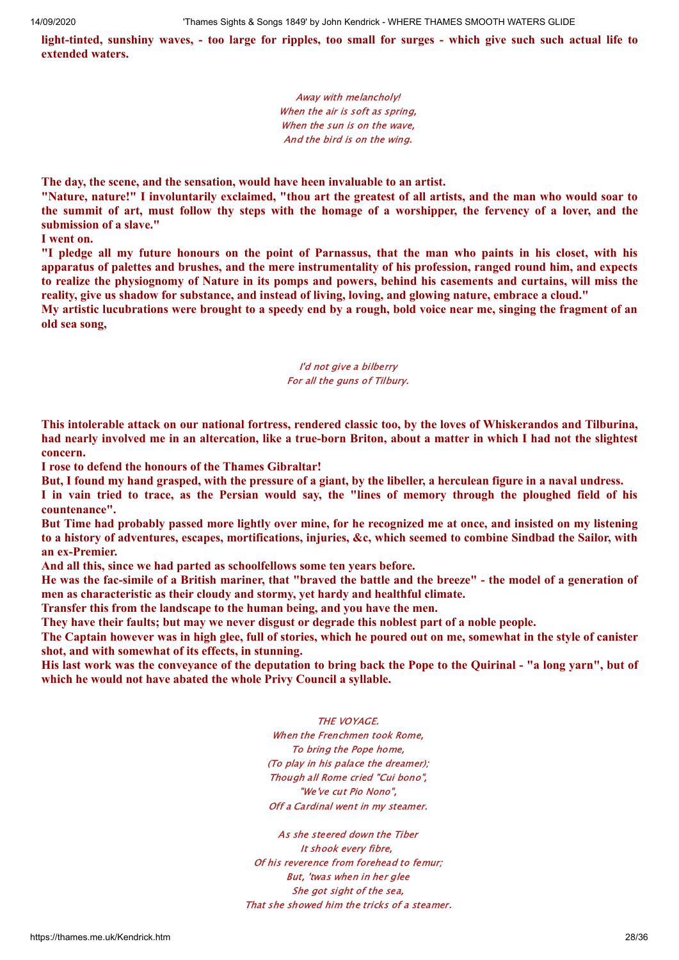light-tinted, sunshiny waves, - too large for ripples, too small for surges - which give such such actual life to **extended waters.**

> Away with melancholy! When the air is soft as spring, When the sun is on the wave. And the bird is on the wing.

**The day, the scene, and the sensation, would have heen invaluable to an artist.**

"Nature, nature!" I involuntarily exclaimed, "thou art the greatest of all artists, and the man who would soar to the summit of art, must follow thy steps with the homage of a worshipper, the fervency of a lover, and the **submission of a slave."**

**I went on.**

"I pledge all my future honours on the point of Parnassus, that the man who paints in his closet, with his apparatus of palettes and brushes, and the mere instrumentality of his profession, ranged round him, and expects to realize the physiognomy of Nature in its pomps and powers, behind his casements and curtains, will miss the reality, give us shadow for substance, and instead of living, loving, and glowing nature, embrace a cloud."

My artistic lucubrations were brought to a speedy end by a rough, bold voice near me, singing the fragment of an **old sea song,**

#### I'd not give a bilberry For all the guns of Tilbury.

This intolerable attack on our national fortress, rendered classic too, by the loves of Whiskerandos and Tilburina, had nearly involved me in an altercation, like a true-born Briton, about a matter in which I had not the slightest **concern.**

**I rose to defend the honours of the Thames Gibraltar!**

But, I found my hand grasped, with the pressure of a giant, by the libeller, a herculean figure in a naval undress.

I in vain tried to trace, as the Persian would say, the "lines of memory through the ploughed field of his **countenance".**

But Time had probably passed more lightly over mine, for he recognized me at once, and insisted on my listening to a history of adventures, escapes, mortifications, injuries, &c, which seemed to combine Sindbad the Sailor, with **an ex-Premier.**

**And all this, since we had parted as schoolfellows some ten years before.**

He was the fac-simile of a British mariner, that "braved the battle and the breeze" - the model of a generation of **men as characteristic as their cloudy and stormy, yet hardy and healthful climate.**

**Transfer this from the landscape to the human being, and you have the men.**

**They have their faults; but may we never disgust or degrade this noblest part of a noble people.**

The Captain however was in high glee, full of stories, which he poured out on me, somewhat in the style of canister **shot, and with somewhat of its effects, in stunning.**

His last work was the conveyance of the deputation to bring back the Pope to the Quirinal - "a long yarn", but of **which he would not have abated the whole Privy Council a syllable.**

THE VOYAGE.

When the Frenchmen took Rome, To bring the Pope home, (To play in his palace the dreamer); Though all Rome cried "Cui bono", "We've cut Pio Nono", Off a Cardinal went in my steamer.

As she steered down the Tiber It shook every fibre, Of his reverence from forehead to femur; But, 'twas when in her glee She got sight of the sea, That she showed him the tricks of a steamer.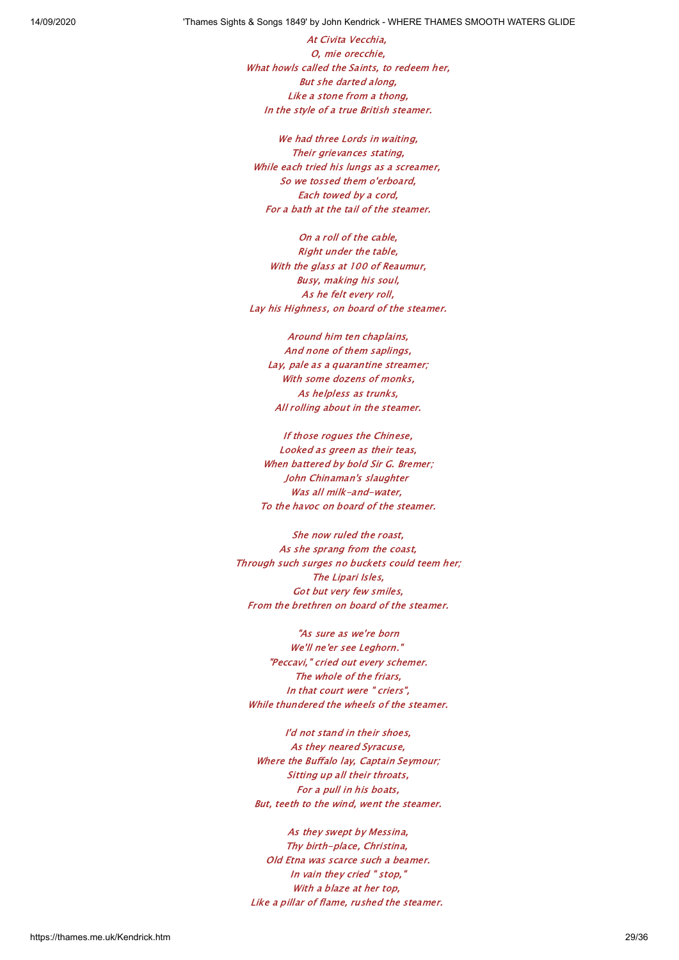At Civita Vecchia, O, mie orecchie, What howls called the Saints, to redeem her, But she darted along, Like a stone from a thong, In the style of a true British steamer.

We had three Lords in waiting, Their grievances stating, While each tried his lungs as a screamer, So we tossed them o'erboard, Each towed by a cord, For a bath at the tail of the steamer.

On a roll of the cable, Right under the table, With the glass at 100 of Reaumur, Busy, making his soul, As he felt every roll, Lay his Highness, on board of the steamer.

Around him ten chaplains, And none of them saplings, Lay, pale as a quarantine streamer; With some dozens of monks, As helpless as trunks, All rolling about in the steamer.

If those rogues the Chinese, Looked as green as their teas, When battered by bold Sir G. Bremer; John Chinaman's slaughter Was all milk-and-water, To the havoc on board of the steamer.

She now ruled the roast, As she sprang from the coast, Through such surges no buckets could teem her; The Lipari Isles, Got but very few smiles, From the brethren on board of the steamer.

"As sure as we're born We'll ne'er see Leghorn." "Peccavi," cried out every schemer. The whole of the friars, In that court were " criers", While thundered the wheels of the steamer.

I'd not stand in their shoes, As they neared Syracuse, Where the Buffalo lay, Captain Seymour; Sitting up all their throats, For a pull in his boats, But, teeth to the wind, went the steamer.

As they swept by Messina, Thy birth-place, Christina, Old Etna was scarce such a beamer. In vain they cried " stop," With a blaze at her top, Like a pillar of flame, rushed the steamer.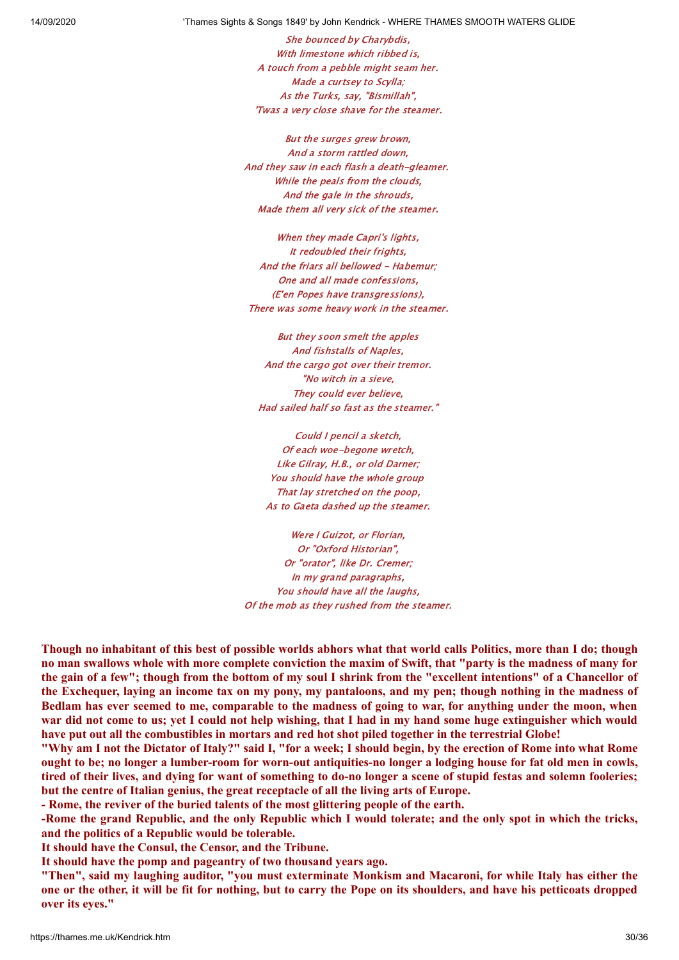She bounced by Charybdis, With limestone which ribbed is, A touch from a pebble might seam her. Made a curtsey to Scylla; As the Turks, say, "Bismillah", 'Twas a very close shave for the steamer.

But the surges grew brown, And a storm rattled down, And they saw in each flash a death-gleamer. While the peals from the clouds, And the gale in the shrouds, Made them all very sick of the steamer.

When they made Capri's lights, It redoubled their frights, And the friars all bellowed - Habemur; One and all made confessions, (E'en Popes have transgressions), There was some heavy work in the steamer.

But they soon smelt the apples And fishstalls of Naples, And the cargo got over their tremor. "No witch in a sieve, They could ever believe, Had sailed half so fast as the steamer."

Could I pencil a sketch, Of each woe-begone wretch, Like Gilray, H.B., or old Darner; You should have the whole group That lay stretched on the poop, As to Gaeta dashed up the steamer.

Were I Guizot, or Florian. Or "Oxford Historian", Or "orator", like Dr. Cremer; In my grand paragraphs, You should have all the laughs, Of the mob as they rushed from the steamer.

Though no inhabitant of this best of possible worlds abhors what that world calls Politics, more than I do; though no man swallows whole with more complete conviction the maxim of Swift, that "party is the madness of many for the gain of a few"; though from the bottom of my soul I shrink from the "excellent intentions" of a Chancellor of the Exchequer, laying an income tax on my pony, my pantaloons, and my pen; though nothing in the madness of Bedlam has ever seemed to me, comparable to the madness of going to war, for anything under the moon, when war did not come to us; yet I could not help wishing, that I had in my hand some huge extinguisher which would have put out all the combustibles in mortars and red hot shot piled together in the terrestrial Globe!

"Why am I not the Dictator of Italy?" said I, "for a week; I should begin, by the erection of Rome into what Rome ought to be; no longer a lumber-room for worn-out antiquities-no longer a lodging house for fat old men in cowls, tired of their lives, and dying for want of something to do-no longer a scene of stupid festas and solemn fooleries; **but the centre of Italian genius, the great receptacle of all the living arts of Europe.**

**- Rome, the reviver of the buried talents of the most glittering people of the earth.**

-Rome the grand Republic, and the only Republic which I would tolerate; and the only spot in which the tricks, **and the politics of a Republic would be tolerable.**

**It should have the Consul, the Censor, and the Tribune.**

**It should have the pomp and pageantry of two thousand years ago.**

"Then", said my laughing auditor, "you must exterminate Monkism and Macaroni, for while Italy has either the one or the other, it will be fit for nothing, but to carry the Pope on its shoulders, and have his petticoats dropped **over its eyes."**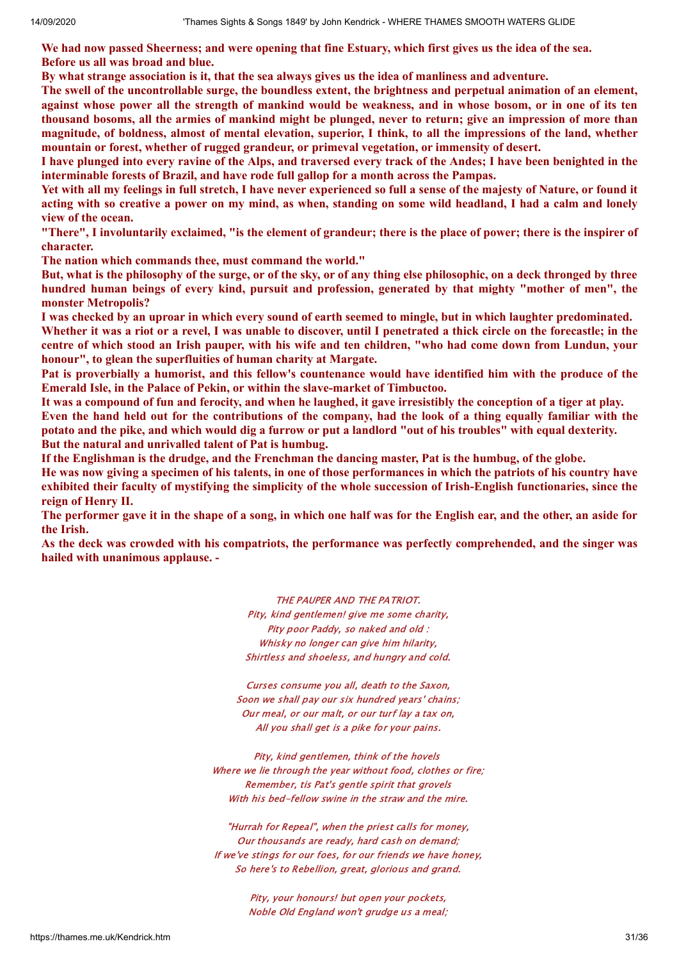We had now passed Sheerness; and were opening that fine Estuary, which first gives us the idea of the sea. **Before us all was broad and blue.**

By what strange association is it, that the sea always gives us the idea of manliness and adventure.

The swell of the uncontrollable surge, the boundless extent, the brightness and perpetual animation of an element, against whose power all the strength of mankind would be weakness, and in whose bosom, or in one of its ten thousand bosoms, all the armies of mankind might be plunged, never to return; give an impression of more than magnitude, of boldness, almost of mental elevation, superior, I think, to all the impressions of the land, whether **mountain or forest, whether of rugged grandeur, or primeval vegetation, or immensity of desert.**

I have plunged into every ravine of the Alps, and traversed every track of the Andes; I have been benighted in the **interminable forests of Brazil, and have rode full gallop for a month across the Pampas.**

Yet with all my feelings in full stretch, I have never experienced so full a sense of the majesty of Nature, or found it acting with so creative a power on my mind, as when, standing on some wild headland, I had a calm and lonely **view of the ocean.**

"There". I involuntarily exclaimed, "is the element of grandeur: there is the place of power: there is the inspirer of **character.**

**The nation which commands thee, must command the world."**

But, what is the philosophy of the surge, or of the sky, or of any thing else philosophic, on a deck thronged by three **hundred human beings of every kind, pursuit and profession, generated by that mighty "mother of men", the monster Metropolis?**

I was checked by an uproar in which every sound of earth seemed to mingle, but in which laughter predominated. Whether it was a riot or a revel, I was unable to discover, until I penetrated a thick circle on the forecastle; in the centre of which stood an Irish pauper, with his wife and ten children. "who had come down from Lundun, your **honour", to glean the superfluities of human charity at Margate.**

Pat is proverbially a humorist, and this fellow's countenance would have identified him with the produce of the **Emerald Isle, in the Palace of Pekin, or within the slave-market of Timbuctoo.**

It was a compound of fun and ferocity, and when he laughed, it gave irresistibly the conception of a tiger at play. Even the hand held out for the contributions of the company, had the look of a thing equally familiar with the potato and the pike, and which would dig a furrow or put a landlord "out of his troubles" with equal dexterity. **But the natural and unrivalled talent of Pat is humbug.**

If the Englishman is the drudge, and the Frenchman the dancing master, Pat is the humbug, of the globe.

He was now giving a specimen of his talents, in one of those performances in which the patriots of his country have exhibited their faculty of mystifying the simplicity of the whole succession of Irish-English functionaries, since the **reign of Henry II.**

The performer gave it in the shape of a song, in which one half was for the English ear, and the other, an aside for **the Irish.**

As the deck was crowded with his compatriots, the performance was perfectly comprehended, and the singer was **hailed with unanimous applause. -**

> THE PAUPER AND THE PATRIOT. Pity, kind gentlemen! give me some charity, Pity poor Paddy, so naked and old : Whisky no longer can give him hilarity, Shirtless and shoeless, and hungry and cold.

Curses consume you all, death to the Saxon, Soon we shall pay our six hundred years' chains; Our meal, or our malt, or our turf lay a tax on, All you shall get is a pike for your pains.

Pity, kind gentlemen, think of the hovels Where we lie through the year without food, clothes or fire; Remember, tis Pat's gentle spirit that grovels With his bed-fellow swine in the straw and the mire.

"Hurrah for Repeal", when the priest calls for money, Our thousands are ready, hard cash on demand; If we've stings for our foes, for our friends we have honey, So here's to Rebellion, great, glorious and grand.

> Pity, your honours! but open your pockets, Noble Old England won't grudge us a meal;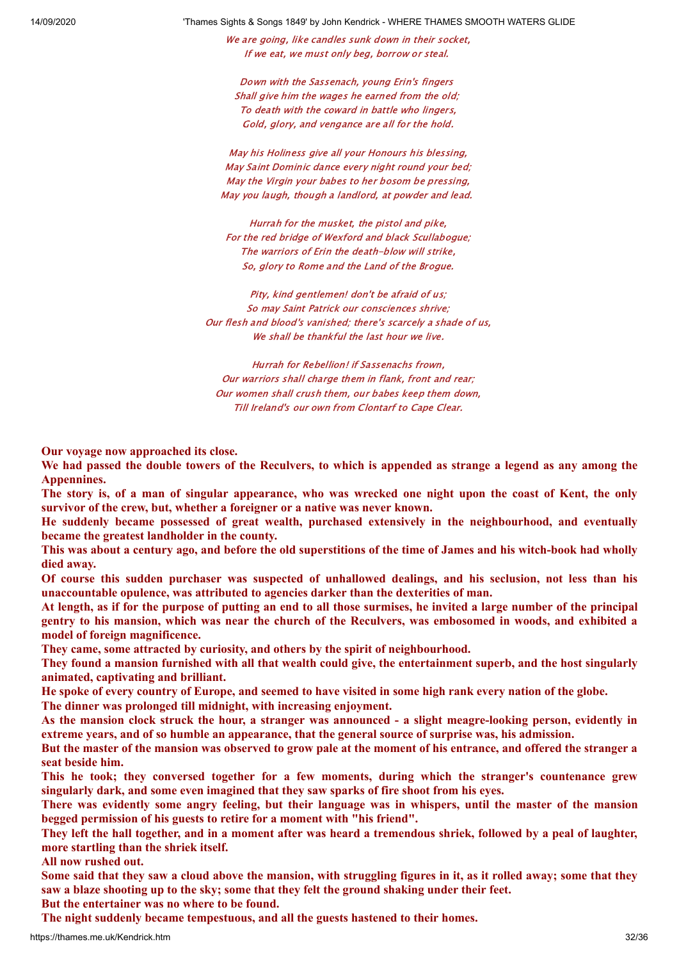We are going, like candles sunk down in their socket, If we eat, we must only beg, borrow or steal.

Down with the Sassenach, young Erin's fingers Shall give him the wages he earned from the old: To death with the coward in battle who lingers, Gold, glory, and vengance are all for the hold.

May his Holiness give all your Honours his blessing, May Saint Dominic dance every night round your bed; May the Virgin your babes to her bosom be pressing, May you laugh, though a landlord, at powder and lead.

Hurrah for the musket, the pistol and pike, For the red bridge of Wexford and black Scullabogue; The warriors of Erin the death-blow will strike, So, glory to Rome and the Land of the Brogue.

Pity, kind gentlemen! don't be afraid of us; So may Saint Patrick our consciences shrive; Our flesh and blood's vanished; there's scarcely a shade of us, We shall be thankful the last hour we live.

Hurrah for Rebellion! if Sassenachs frown, Our warriors shall charge them in flank, front and rear; Our women shall crush them, our babes keep them down, Till Ireland's our own from Clontarf to Cape Clear.

**Our voyage now approached its close.**

We had passed the double towers of the Reculvers, to which is appended as strange a legend as any among the **Appennines.**

The story is, of a man of singular appearance, who was wrecked one night upon the coast of Kent, the only **survivor of the crew, but, whether a foreigner or a native was never known.**

**He suddenly became possessed of great wealth, purchased extensively in the neighbourhood, and eventually became the greatest landholder in the county.**

This was about a century ago, and before the old superstitions of the time of James and his witch-book had wholly **died away.**

Of course this sudden purchaser was suspected of unhallowed dealings, and his seclusion, not less than his **unaccountable opulence, was attributed to agencies darker than the dexterities of man.**

At length, as if for the purpose of putting an end to all those surmises, he invited a large number of the principal gentry to his mansion, which was near the church of the Reculvers, was embosomed in woods, and exhibited a **model of foreign magnificence.**

**They came, some attracted by curiosity, and others by the spirit of neighbourhood.**

They found a mansion furnished with all that wealth could give, the entertainment superb, and the host singularly **animated, captivating and brilliant.**

He spoke of every country of Europe, and seemed to have visited in some high rank every nation of the globe.

**The dinner was prolonged till midnight, with increasing enjoyment.**

As the mansion clock struck the hour, a stranger was announced - a slight meagre-looking person, evidently in **extreme years, and of so humble an appearance, that the general source of surprise was, his admission.**

But the master of the mansion was observed to grow pale at the moment of his entrance, and offered the stranger a **seat beside him.**

**This he took; they conversed together for a few moments, during which the stranger's countenance grew singularly dark, and some even imagined that they saw sparks of fire shoot from his eyes.**

There was evidently some angry feeling, but their language was in whispers, until the master of the mansion **begged permission of his guests to retire for a moment with "his friend".**

They left the hall together, and in a moment after was heard a tremendous shriek, followed by a peal of laughter, **more startling than the shriek itself.**

**All now rushed out.**

Some said that they saw a cloud above the mansion, with struggling figures in it, as it rolled away; some that they **saw a blaze shooting up to the sky; some that they felt the ground shaking under their feet.**

**But the entertainer was no where to be found.**

**The night suddenly became tempestuous, and all the guests hastened to their homes.**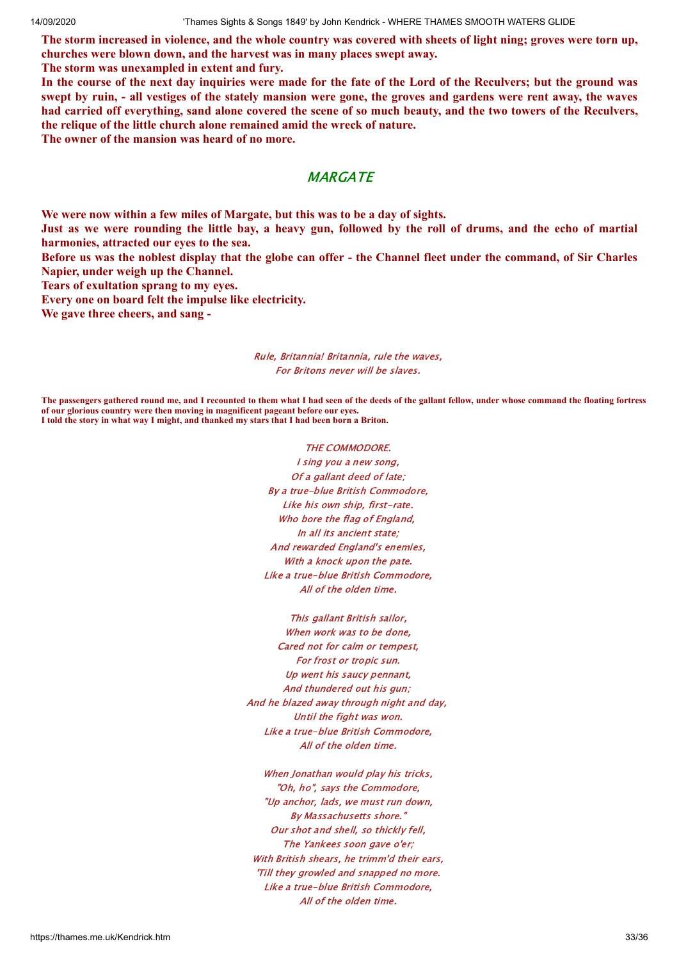The storm increased in violence, and the whole country was covered with sheets of light ning; groves were torn up, **churches were blown down, and the harvest was in many places swept away.**

**The storm was unexampled in extent and fury.**

In the course of the next day inquiries were made for the fate of the Lord of the Reculvers; but the ground was swept by ruin, - all vestiges of the stately mansion were gone, the groves and gardens were rent away, the waves had carried off everything, sand alone covered the scene of so much beauty, and the two towers of the Reculvers, **the relique of the little church alone remained amid the wreck of nature.**

**The owner of the mansion was heard of no more.**

# **MARGATE**

**We were now within a few miles of Margate, but this was to be a day of sights.**

Just as we were rounding the little bay, a heavy gun, followed by the roll of drums, and the echo of martial **harmonies, attracted our eyes to the sea.**

Before us was the noblest display that the globe can offer - the Channel fleet under the command, of Sir Charles **Napier, under weigh up the Channel.**

**Tears of exultation sprang to my eyes.**

**Every one on board felt the impulse like electricity.**

**We gave three cheers, and sang -**

#### Rule, Britannia! Britannia, rule the waves, For Britons never will be slaves.

**The passengers gathered round me, and I recounted to them what I had seen of the deeds of the gallant fellow, under whose command the floating fortress of our glorious country were then moving in magnificent pageant before our eyes. I told the story in what way I might, and thanked my stars that I had been born a Briton.**

THE COMMODORE.

I sing you a new song, Of a gallant deed of late; By a true-blue British Commodore, Like his own ship, first-rate. Who bore the flag of England. In all its ancient state; And rewarded England's enemies, With a knock upon the pate. Like a true-blue British Commodore, All of the olden time.

This gallant British sailor, When work was to be done, Cared not for calm or tempest, For frost or tropic sun. Up went his saucy pennant, And thundered out his gun; And he blazed away through night and day, Until the fight was won. Like a true-blue British Commodore, All of the olden time.

When Jonathan would play his tricks, "Oh, ho", says the Commodore, "Up anchor, lads, we must run down, By Massachusetts shore." Our shot and shell, so thickly fell, The Yankees soon gave o'er; With British shears, he trimm'd their ears, 'Till they growled and snapped no more. Like a true-blue British Commodore, All of the olden time.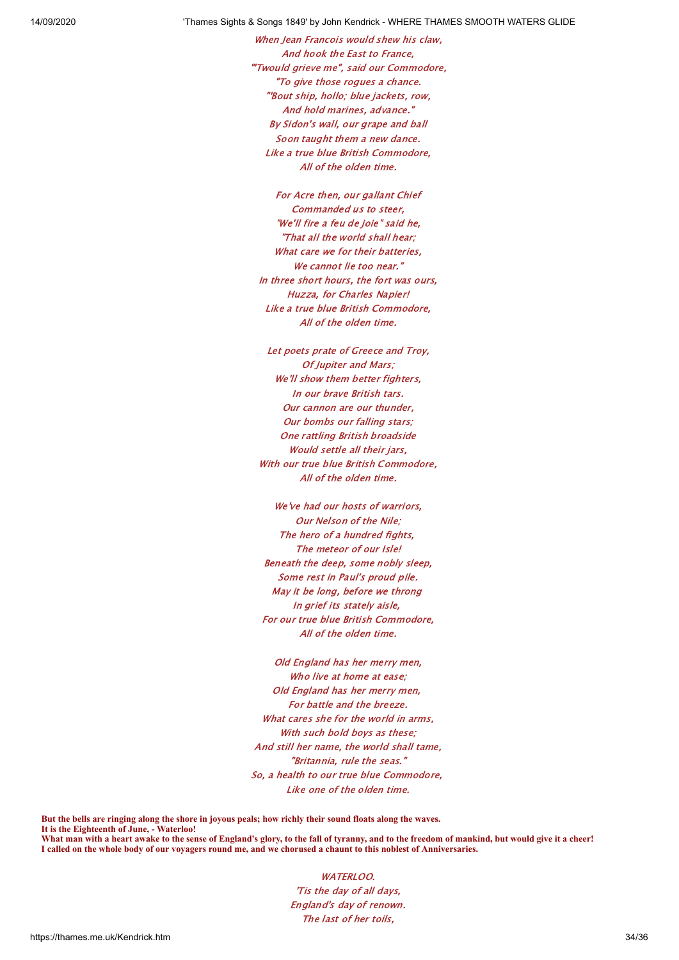When Jean Francois would shew his claw. And hook the East to France, "'Twould grieve me", said our Commodore, "To give those rogues a chance. "'Bout ship, hollo; blue jackets, row, And hold marines, advance." By Sidon's wall, our grape and ball Soon taught them a new dance. Like a true blue British Commodore, All of the olden time.

For Acre then, our gallant Chief Commanded us to steer, "We'll fire a feu de joie" said he, "That all the world shall hear; What care we for their batteries, We cannot lie too near." In three short hours, the fort was ours, Huzza, for Charles Napier! Like a true blue British Commodore, All of the olden time.

Let poets prate of Greece and Troy, Of Jupiter and Mars; We'll show them better fighters, In our brave British tars. Our cannon are our thunder, Our bombs our falling stars; One rattling British broadside Would settle all their jars, With our true blue British Commodore, All of the olden time.

We've had our hosts of warriors, Our Nelson of the Nile; The hero of a hundred fights. The meteor of our Isle! Beneath the deep, some nobly sleep, Some rest in Paul's proud pile. May it be long, before we throng In grief its stately aisle, For our true blue British Commodore, All of the olden time.

Old England has her merry men, Who live at home at ease; Old England has her merry men, For battle and the breeze. What cares she for the world in arms, With such bold boys as these: And still her name, the world shall tame, "Britannia, rule the seas." So, a health to our true blue Commodore, Like one of the olden time.

**But the bells are ringing along the shore in joyous peals; how richly their sound floats along the waves. It is the Eighteenth of June, - Waterloo!**

**What man with a heart awake to the sense of England's glory, to the fall of tyranny, and to the freedom of mankind, but would give it a cheer! I called on the whole body of our voyagers round me, and we chorused a chaunt to this noblest of Anniversaries.**

> WATERLOO. 'Tis the day of all days, England's day of renown. The last of her toils,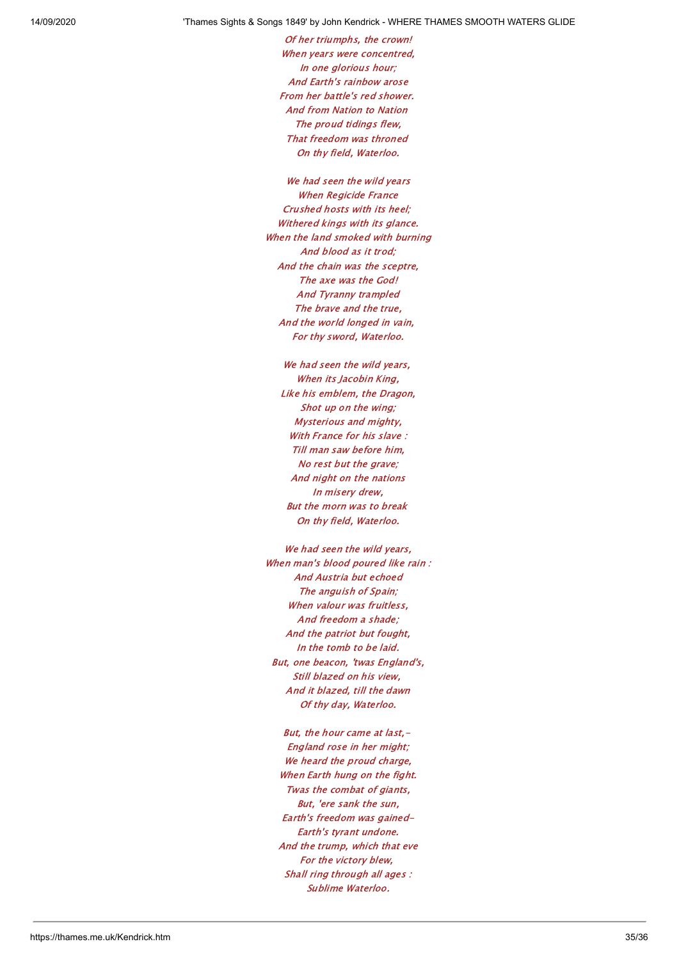Of her triumphs, the crown! When years were concentred, In one glorious hour; And Earth's rainbow arose From her battle's red shower. And from Nation to Nation The proud tidings flew, That freedom was throned On thy field, Waterloo.

We had seen the wild years When Regicide France Crushed hosts with its heel; Withered kings with its glance. When the land smoked with burning And blood as it trod; And the chain was the sceptre, The axe was the God! And Tyranny trampled The brave and the true, And the world longed in vain, For thy sword, Waterloo.

We had seen the wild years, When its Jacobin King, Like his emblem, the Dragon, Shot up on the wing; Mysterious and mighty, With France for his slave: Till man saw before him, No rest but the grave; And night on the nations In misery drew, But the morn was to break On thy field, Waterloo.

We had seen the wild years, When man's blood poured like rain : And Austria but echoed The anguish of Spain; When valour was fruitless, And freedom a shade; And the patriot but fought, In the tomb to be laid. But, one beacon, 'twas England's, Still blazed on his view, And it blazed, till the dawn Of thy day, Waterloo.

But, the hour came at last.-England rose in her might; We heard the proud charge, When Earth hung on the fight. Twas the combat of giants, But, 'ere sank the sun, Earth's freedom was gained-Earth's tyrant undone. And the trump, which that eve For the victory blew, Shall ring through all ages : Sublime Waterloo.